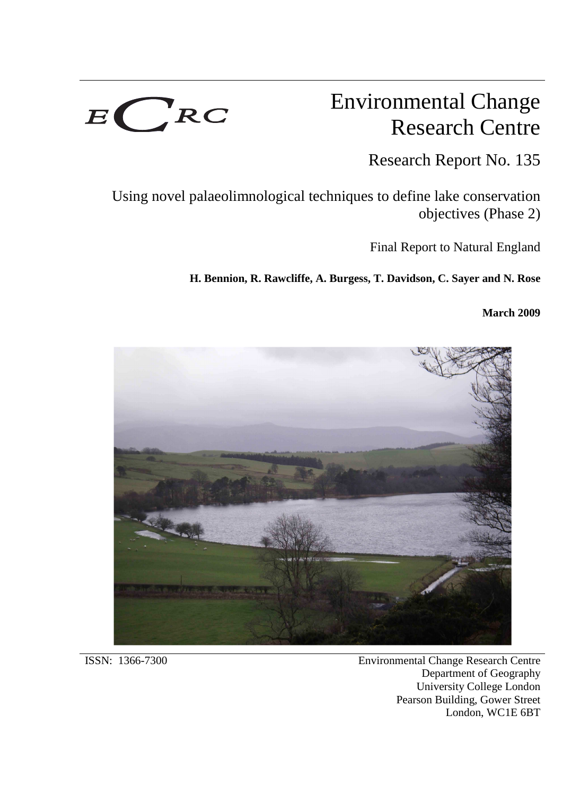

# Environmental Change Research Centre

Research Report No. 135

Using novel palaeolimnological techniques to define lake conservation objectives (Phase 2)

Final Report to Natural England

**H. Bennion, R. Rawcliffe, A. Burgess, T. Davidson, C. Sayer and N. Rose**

**March 2009**



ISSN: 1366-7300 Environmental Change Research Centre Department of Geography University College London Pearson Building, Gower Street London, WC1E 6BT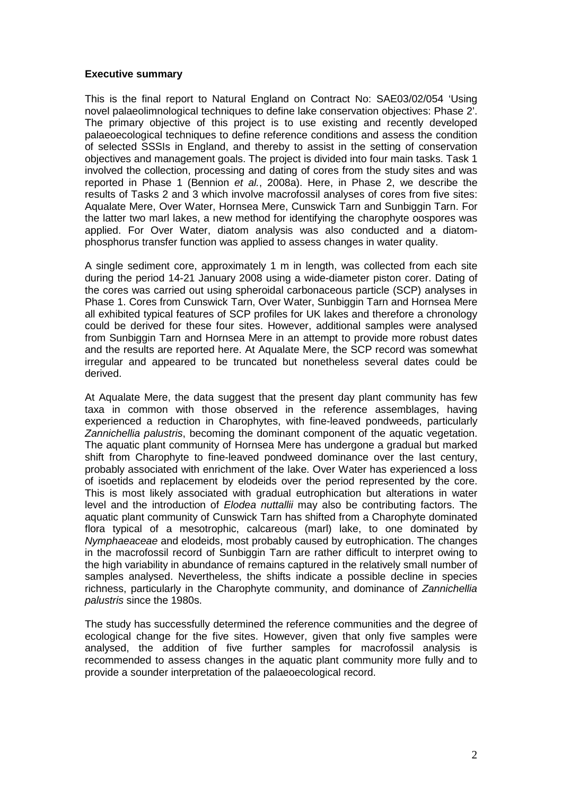#### **Executive summary**

This is the final report to Natural England on Contract No: SAE03/02/054 'Using novel palaeolimnological techniques to define lake conservation objectives: Phase 2'. The primary objective of this project is to use existing and recently developed palaeoecological techniques to define reference conditions and assess the condition of selected SSSIs in England, and thereby to assist in the setting of conservation objectives and management goals. The project is divided into four main tasks. Task 1 involved the collection, processing and dating of cores from the study sites and was reported in Phase 1 (Bennion et al., 2008a). Here, in Phase 2, we describe the results of Tasks 2 and 3 which involve macrofossil analyses of cores from five sites: Aqualate Mere, Over Water, Hornsea Mere, Cunswick Tarn and Sunbiggin Tarn. For the latter two marl lakes, a new method for identifying the charophyte oospores was applied. For Over Water, diatom analysis was also conducted and a diatomphosphorus transfer function was applied to assess changes in water quality.

A single sediment core, approximately 1 m in length, was collected from each site during the period 14-21 January 2008 using a wide-diameter piston corer. Dating of the cores was carried out using spheroidal carbonaceous particle (SCP) analyses in Phase 1. Cores from Cunswick Tarn, Over Water, Sunbiggin Tarn and Hornsea Mere all exhibited typical features of SCP profiles for UK lakes and therefore a chronology could be derived for these four sites. However, additional samples were analysed from Sunbiggin Tarn and Hornsea Mere in an attempt to provide more robust dates and the results are reported here. At Aqualate Mere, the SCP record was somewhat irregular and appeared to be truncated but nonetheless several dates could be derived.

At Aqualate Mere, the data suggest that the present day plant community has few taxa in common with those observed in the reference assemblages, having experienced a reduction in Charophytes, with fine-leaved pondweeds, particularly Zannichellia palustris, becoming the dominant component of the aquatic vegetation. The aquatic plant community of Hornsea Mere has undergone a gradual but marked shift from Charophyte to fine-leaved pondweed dominance over the last century, probably associated with enrichment of the lake. Over Water has experienced a loss of isoetids and replacement by elodeids over the period represented by the core. This is most likely associated with gradual eutrophication but alterations in water level and the introduction of Elodea nuttallii may also be contributing factors. The aquatic plant community of Cunswick Tarn has shifted from a Charophyte dominated flora typical of a mesotrophic, calcareous (marl) lake, to one dominated by Nymphaeaceae and elodeids, most probably caused by eutrophication. The changes in the macrofossil record of Sunbiggin Tarn are rather difficult to interpret owing to the high variability in abundance of remains captured in the relatively small number of samples analysed. Nevertheless, the shifts indicate a possible decline in species richness, particularly in the Charophyte community, and dominance of Zannichellia palustris since the 1980s.

The study has successfully determined the reference communities and the degree of ecological change for the five sites. However, given that only five samples were analysed, the addition of five further samples for macrofossil analysis is recommended to assess changes in the aquatic plant community more fully and to provide a sounder interpretation of the palaeoecological record.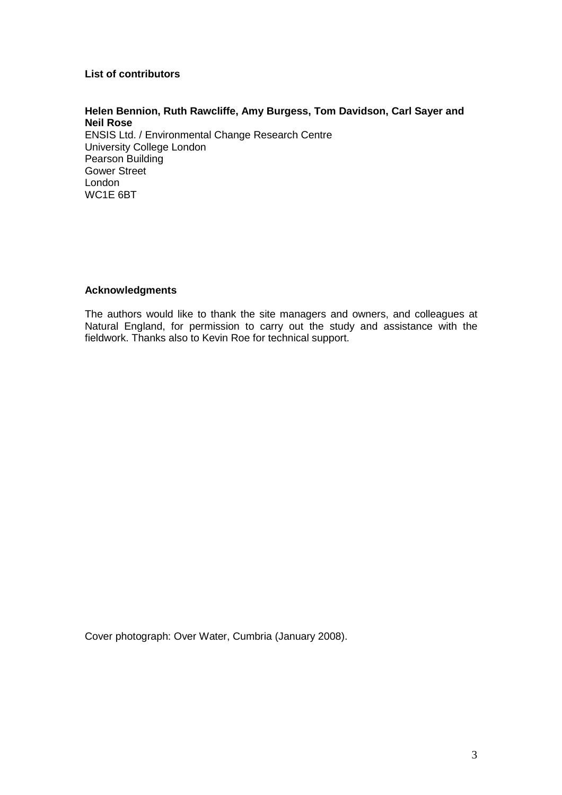## **List of contributors**

# **Helen Bennion, Ruth Rawcliffe, Amy Burgess, Tom Davidson, Carl Sayer and Neil Rose**

ENSIS Ltd. / Environmental Change Research Centre University College London Pearson Building Gower Street London WC1E 6BT

#### **Acknowledgments**

The authors would like to thank the site managers and owners, and colleagues at Natural England, for permission to carry out the study and assistance with the fieldwork. Thanks also to Kevin Roe for technical support.

Cover photograph: Over Water, Cumbria (January 2008).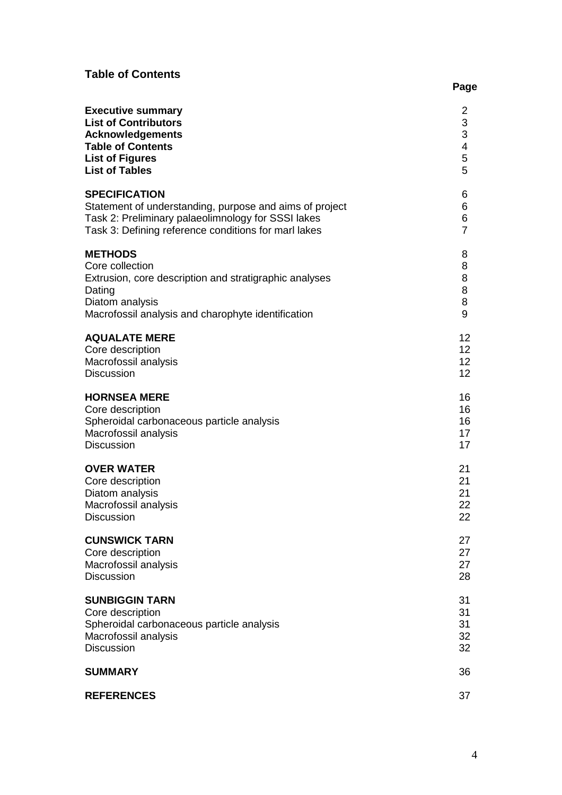# **Table of Contents**

| <b>Executive summary</b>                                | 2                        |
|---------------------------------------------------------|--------------------------|
| <b>List of Contributors</b>                             | 3                        |
| <b>Acknowledgements</b>                                 | 3                        |
| <b>Table of Contents</b>                                | $\overline{\mathcal{A}}$ |
| <b>List of Figures</b>                                  | 5                        |
| <b>List of Tables</b>                                   | 5                        |
| <b>SPECIFICATION</b>                                    | 6                        |
| Statement of understanding, purpose and aims of project | 6                        |
| Task 2: Preliminary palaeolimnology for SSSI lakes      | 6                        |
| Task 3: Defining reference conditions for marl lakes    | $\overline{7}$           |
| <b>METHODS</b>                                          | 8                        |
| Core collection                                         | 8                        |
| Extrusion, core description and stratigraphic analyses  | 8                        |
| Dating                                                  | 8                        |
| Diatom analysis                                         | 8                        |
| Macrofossil analysis and charophyte identification      | 9                        |
| <b>AQUALATE MERE</b>                                    | 12 <sup>2</sup>          |
| Core description                                        | 12 <sub>2</sub>          |
| Macrofossil analysis                                    | 12 <sup>2</sup>          |
| <b>Discussion</b>                                       | 12 <sup>2</sup>          |
| <b>HORNSEA MERE</b>                                     | 16                       |
| Core description                                        | 16                       |
| Spheroidal carbonaceous particle analysis               | 16                       |
| Macrofossil analysis                                    | 17                       |
| <b>Discussion</b>                                       | 17                       |
| <b>OVER WATER</b>                                       | 21                       |
| Core description                                        | 21                       |
| Diatom analysis                                         | 21                       |
| Macrofossil analysis                                    | 22                       |
| <b>Discussion</b>                                       | 22                       |
| <b>CUNSWICK TARN</b>                                    | 27                       |
| Core description                                        | 27                       |
| Macrofossil analysis                                    | 27                       |
| <b>Discussion</b>                                       | 28                       |
| <b>SUNBIGGIN TARN</b>                                   | 31                       |
| Core description                                        | 31                       |
| Spheroidal carbonaceous particle analysis               | 31                       |
| Macrofossil analysis                                    | 32                       |
| <b>Discussion</b>                                       | 32                       |
| <b>SUMMARY</b>                                          | 36                       |
| <b>REFERENCES</b>                                       | 37                       |
|                                                         |                          |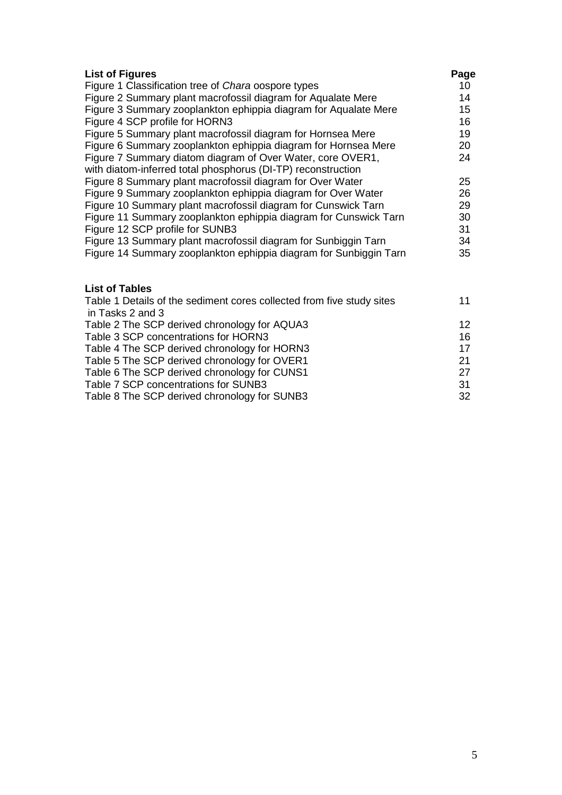| <b>List of Figures</b>                                                | Page |
|-----------------------------------------------------------------------|------|
| Figure 1 Classification tree of Chara oospore types                   | 10   |
| Figure 2 Summary plant macrofossil diagram for Aqualate Mere          | 14   |
| Figure 3 Summary zooplankton ephippia diagram for Aqualate Mere       | 15   |
| Figure 4 SCP profile for HORN3                                        | 16   |
| Figure 5 Summary plant macrofossil diagram for Hornsea Mere           | 19   |
| Figure 6 Summary zooplankton ephippia diagram for Hornsea Mere        | 20   |
| Figure 7 Summary diatom diagram of Over Water, core OVER1,            | 24   |
| with diatom-inferred total phosphorus (DI-TP) reconstruction          |      |
| Figure 8 Summary plant macrofossil diagram for Over Water             | 25   |
| Figure 9 Summary zooplankton ephippia diagram for Over Water          | 26   |
| Figure 10 Summary plant macrofossil diagram for Cunswick Tarn         | 29   |
| Figure 11 Summary zooplankton ephippia diagram for Cunswick Tarn      | 30   |
| Figure 12 SCP profile for SUNB3                                       | 31   |
| Figure 13 Summary plant macrofossil diagram for Sunbiggin Tarn        | 34   |
| Figure 14 Summary zooplankton ephippia diagram for Sunbiggin Tarn     | 35   |
| <b>List of Tables</b>                                                 |      |
| Table 1 Details of the sediment cores collected from five study sites | 11   |
| in Tasks 2 and 3                                                      |      |
| Table 2 The SCP derived chronology for AQUA3                          | 12   |
| Table 3 SCP concentrations for HORN3                                  | 16   |

| Table 4 The SCP derived chronology for HORN3 | 17.           |
|----------------------------------------------|---------------|
| Table 5 The SCP derived chronology for OVER1 | -21-          |
| Table 6 The SCP derived chronology for CUNS1 | 27.           |
| Table 7 SCP concentrations for SUNB3         | -31-          |
| — '' A —' A A B '' '' '' '' '                | $\sim$ $\sim$ |

Table 8 The SCP derived chronology for SUNB3 32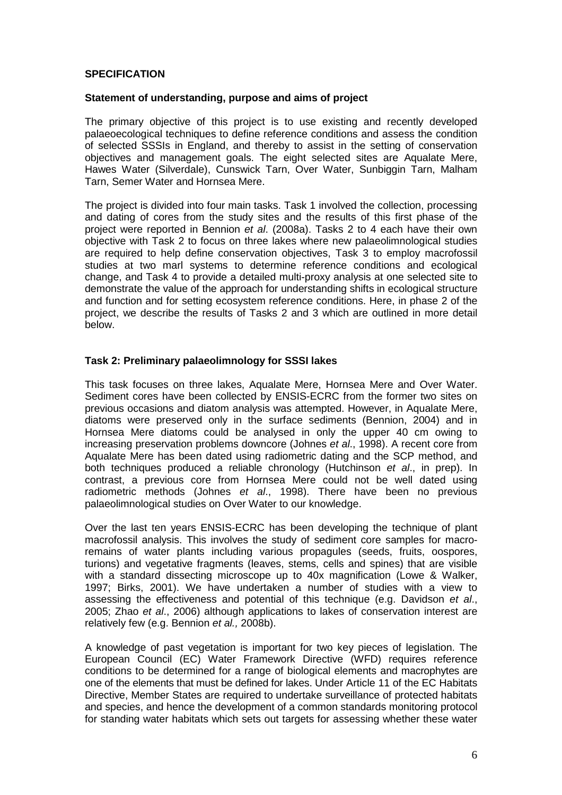#### **SPECIFICATION**

#### **Statement of understanding, purpose and aims of project**

The primary objective of this project is to use existing and recently developed palaeoecological techniques to define reference conditions and assess the condition of selected SSSIs in England, and thereby to assist in the setting of conservation objectives and management goals. The eight selected sites are Aqualate Mere, Hawes Water (Silverdale), Cunswick Tarn, Over Water, Sunbiggin Tarn, Malham Tarn, Semer Water and Hornsea Mere.

The project is divided into four main tasks. Task 1 involved the collection, processing and dating of cores from the study sites and the results of this first phase of the project were reported in Bennion et al. (2008a). Tasks 2 to 4 each have their own objective with Task 2 to focus on three lakes where new palaeolimnological studies are required to help define conservation objectives, Task 3 to employ macrofossil studies at two marl systems to determine reference conditions and ecological change, and Task 4 to provide a detailed multi-proxy analysis at one selected site to demonstrate the value of the approach for understanding shifts in ecological structure and function and for setting ecosystem reference conditions. Here, in phase 2 of the project, we describe the results of Tasks 2 and 3 which are outlined in more detail below.

## **Task 2: Preliminary palaeolimnology for SSSI lakes**

This task focuses on three lakes, Aqualate Mere, Hornsea Mere and Over Water. Sediment cores have been collected by ENSIS-ECRC from the former two sites on previous occasions and diatom analysis was attempted. However, in Aqualate Mere, diatoms were preserved only in the surface sediments (Bennion, 2004) and in Hornsea Mere diatoms could be analysed in only the upper 40 cm owing to increasing preservation problems downcore (Johnes et al., 1998). A recent core from Aqualate Mere has been dated using radiometric dating and the SCP method, and both techniques produced a reliable chronology (Hutchinson et al., in prep). In contrast, a previous core from Hornsea Mere could not be well dated using radiometric methods (Johnes et al., 1998). There have been no previous palaeolimnological studies on Over Water to our knowledge.

Over the last ten years ENSIS-ECRC has been developing the technique of plant macrofossil analysis. This involves the study of sediment core samples for macroremains of water plants including various propagules (seeds, fruits, oospores, turions) and vegetative fragments (leaves, stems, cells and spines) that are visible with a standard dissecting microscope up to 40x magnification (Lowe & Walker, 1997; Birks, 2001). We have undertaken a number of studies with a view to assessing the effectiveness and potential of this technique (e.g. Davidson et al., 2005; Zhao et al., 2006) although applications to lakes of conservation interest are relatively few (e.g. Bennion et al., 2008b).

A knowledge of past vegetation is important for two key pieces of legislation. The European Council (EC) Water Framework Directive (WFD) requires reference conditions to be determined for a range of biological elements and macrophytes are one of the elements that must be defined for lakes. Under Article 11 of the EC Habitats Directive, Member States are required to undertake surveillance of protected habitats and species, and hence the development of a common standards monitoring protocol for standing water habitats which sets out targets for assessing whether these water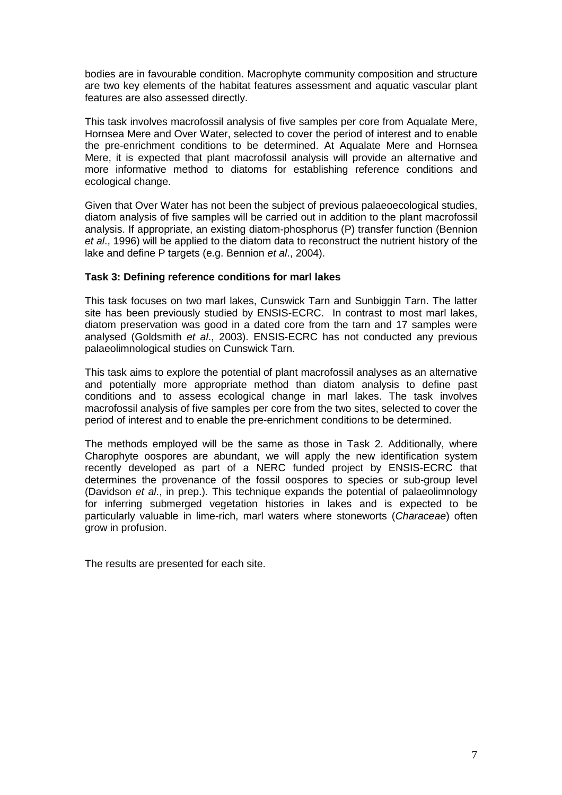bodies are in favourable condition. Macrophyte community composition and structure are two key elements of the habitat features assessment and aquatic vascular plant features are also assessed directly.

This task involves macrofossil analysis of five samples per core from Aqualate Mere, Hornsea Mere and Over Water, selected to cover the period of interest and to enable the pre-enrichment conditions to be determined. At Aqualate Mere and Hornsea Mere, it is expected that plant macrofossil analysis will provide an alternative and more informative method to diatoms for establishing reference conditions and ecological change.

Given that Over Water has not been the subject of previous palaeoecological studies, diatom analysis of five samples will be carried out in addition to the plant macrofossil analysis. If appropriate, an existing diatom-phosphorus (P) transfer function (Bennion et al., 1996) will be applied to the diatom data to reconstruct the nutrient history of the lake and define P targets (e.g. Bennion et al., 2004).

## **Task 3: Defining reference conditions for marl lakes**

This task focuses on two marl lakes, Cunswick Tarn and Sunbiggin Tarn. The latter site has been previously studied by ENSIS-ECRC. In contrast to most marl lakes, diatom preservation was good in a dated core from the tarn and 17 samples were analysed (Goldsmith et al., 2003). ENSIS-ECRC has not conducted any previous palaeolimnological studies on Cunswick Tarn.

This task aims to explore the potential of plant macrofossil analyses as an alternative and potentially more appropriate method than diatom analysis to define past conditions and to assess ecological change in marl lakes. The task involves macrofossil analysis of five samples per core from the two sites, selected to cover the period of interest and to enable the pre-enrichment conditions to be determined.

The methods employed will be the same as those in Task 2. Additionally, where Charophyte oospores are abundant, we will apply the new identification system recently developed as part of a NERC funded project by ENSIS-ECRC that determines the provenance of the fossil oospores to species or sub-group level (Davidson et al., in prep.). This technique expands the potential of palaeolimnology for inferring submerged vegetation histories in lakes and is expected to be particularly valuable in lime-rich, marl waters where stoneworts (Characeae) often grow in profusion.

The results are presented for each site.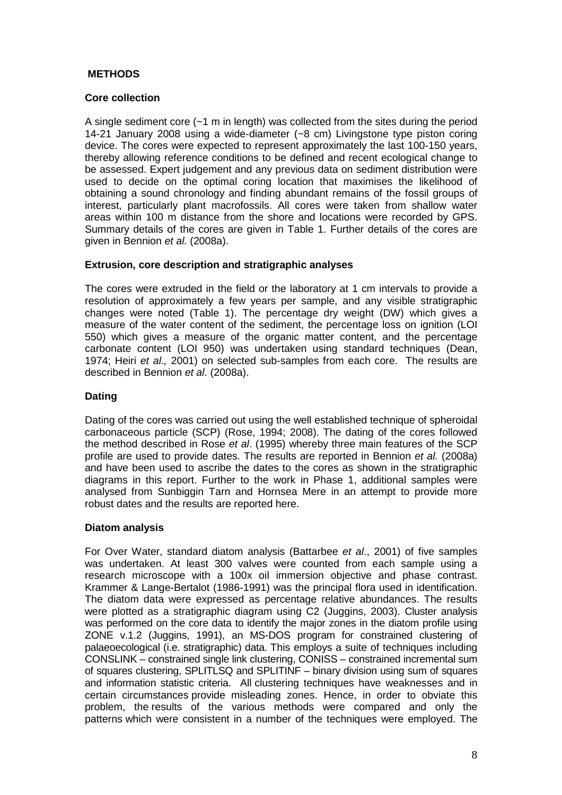# **METHODS**

# **Core collection**

A single sediment core  $(-1 \text{ m in length})$  was collected from the sites during the period 14-21 January 2008 using a wide-diameter (~8 cm) Livingstone type piston coring device. The cores were expected to represent approximately the last 100-150 years, thereby allowing reference conditions to be defined and recent ecological change to be assessed. Expert judgement and any previous data on sediment distribution were used to decide on the optimal coring location that maximises the likelihood of obtaining a sound chronology and finding abundant remains of the fossil groups of interest, particularly plant macrofossils. All cores were taken from shallow water areas within 100 m distance from the shore and locations were recorded by GPS. Summary details of the cores are given in Table 1. Further details of the cores are given in Bennion et al. (2008a).

## **Extrusion, core description and stratigraphic analyses**

The cores were extruded in the field or the laboratory at 1 cm intervals to provide a resolution of approximately a few years per sample, and any visible stratigraphic changes were noted (Table 1). The percentage dry weight (DW) which gives a measure of the water content of the sediment, the percentage loss on ignition (LOI 550) which gives a measure of the organic matter content, and the percentage carbonate content (LOI 950) was undertaken using standard techniques (Dean, 1974; Heiri et al., 2001) on selected sub-samples from each core. The results are described in Bennion et al. (2008a).

# **Dating**

Dating of the cores was carried out using the well established technique of spheroidal carbonaceous particle (SCP) (Rose, 1994; 2008). The dating of the cores followed the method described in Rose et al. (1995) whereby three main features of the SCP profile are used to provide dates. The results are reported in Bennion et al. (2008a) and have been used to ascribe the dates to the cores as shown in the stratigraphic diagrams in this report. Further to the work in Phase 1, additional samples were analysed from Sunbiggin Tarn and Hornsea Mere in an attempt to provide more robust dates and the results are reported here.

## **Diatom analysis**

For Over Water, standard diatom analysis (Battarbee et al., 2001) of five samples was undertaken. At least 300 valves were counted from each sample using a research microscope with a 100x oil immersion objective and phase contrast. Krammer & Lange-Bertalot (1986-1991) was the principal flora used in identification. The diatom data were expressed as percentage relative abundances. The results were plotted as a stratigraphic diagram using C2 (Juggins, 2003). Cluster analysis was performed on the core data to identify the major zones in the diatom profile using ZONE v.1.2 (Juggins, 1991), an MS-DOS program for constrained clustering of palaeoecological (i.e. stratigraphic) data. This employs a suite of techniques including CONSLINK – constrained single link clustering, CONISS – constrained incremental sum of squares clustering, SPLITLSQ and SPLITINF – binary division using sum of squares and information statistic criteria. All clustering techniques have weaknesses and in certain circumstances provide misleading zones. Hence, in order to obviate this problem, the results of the various methods were compared and only the patterns which were consistent in a number of the techniques were employed. The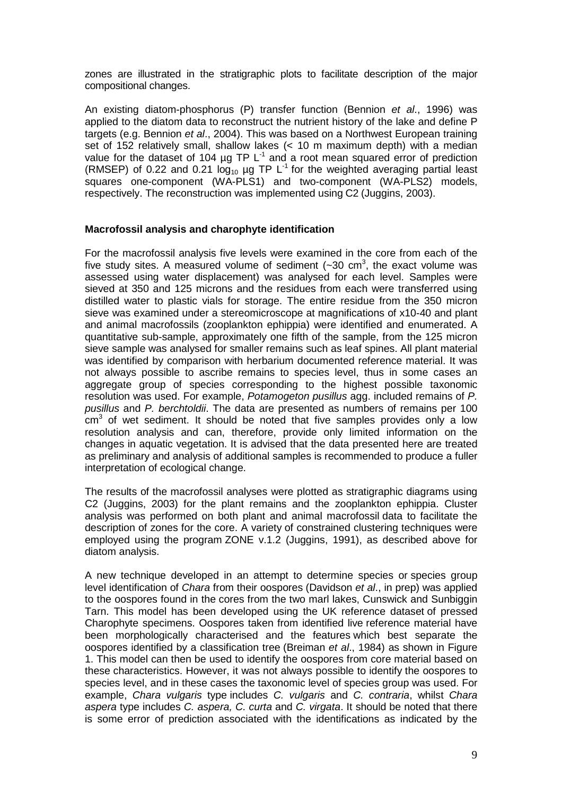zones are illustrated in the stratigraphic plots to facilitate description of the major compositional changes.

An existing diatom-phosphorus (P) transfer function (Bennion et al., 1996) was applied to the diatom data to reconstruct the nutrient history of the lake and define P targets (e.g. Bennion et al., 2004). This was based on a Northwest European training set of 152 relatively small, shallow lakes (< 10 m maximum depth) with a median value for the dataset of 104  $\mu$ g TP L<sup>-1</sup> and a root mean squared error of prediction (RMSEP) of 0.22 and 0.21  $log_{10}$  µg TP  $L^{-1}$  for the weighted averaging partial least squares one-component (WA-PLS1) and two-component (WA-PLS2) models, respectively. The reconstruction was implemented using C2 (Juggins, 2003).

#### **Macrofossil analysis and charophyte identification**

For the macrofossil analysis five levels were examined in the core from each of the five study sites. A measured volume of sediment ( $\sim$ 30 cm<sup>3</sup>, the exact volume was assessed using water displacement) was analysed for each level. Samples were sieved at 350 and 125 microns and the residues from each were transferred using distilled water to plastic vials for storage. The entire residue from the 350 micron sieve was examined under a stereomicroscope at magnifications of x10-40 and plant and animal macrofossils (zooplankton ephippia) were identified and enumerated. A quantitative sub-sample, approximately one fifth of the sample, from the 125 micron sieve sample was analysed for smaller remains such as leaf spines. All plant material was identified by comparison with herbarium documented reference material. It was not always possible to ascribe remains to species level, thus in some cases an aggregate group of species corresponding to the highest possible taxonomic resolution was used. For example, Potamogeton pusillus agg. included remains of P. pusillus and P. berchtoldii. The data are presented as numbers of remains per 100  $\textsf{cm}^{3}$  of wet sediment. It should be noted that five samples provides only a low resolution analysis and can, therefore, provide only limited information on the changes in aquatic vegetation. It is advised that the data presented here are treated as preliminary and analysis of additional samples is recommended to produce a fuller interpretation of ecological change.

The results of the macrofossil analyses were plotted as stratigraphic diagrams using C2 (Juggins, 2003) for the plant remains and the zooplankton ephippia. Cluster analysis was performed on both plant and animal macrofossil data to facilitate the description of zones for the core. A variety of constrained clustering techniques were employed using the program ZONE v.1.2 (Juggins, 1991), as described above for diatom analysis.

A new technique developed in an attempt to determine species or species group level identification of Chara from their oospores (Davidson et al., in prep) was applied to the oospores found in the cores from the two marl lakes, Cunswick and Sunbiggin Tarn. This model has been developed using the UK reference dataset of pressed Charophyte specimens. Oospores taken from identified live reference material have been morphologically characterised and the features which best separate the oospores identified by a classification tree (Breiman et al., 1984) as shown in Figure 1. This model can then be used to identify the oospores from core material based on these characteristics. However, it was not always possible to identify the oospores to species level, and in these cases the taxonomic level of species group was used. For example, Chara vulgaris type includes C. vulgaris and C. contraria, whilst Chara aspera type includes C. aspera, C. curta and C. virgata. It should be noted that there is some error of prediction associated with the identifications as indicated by the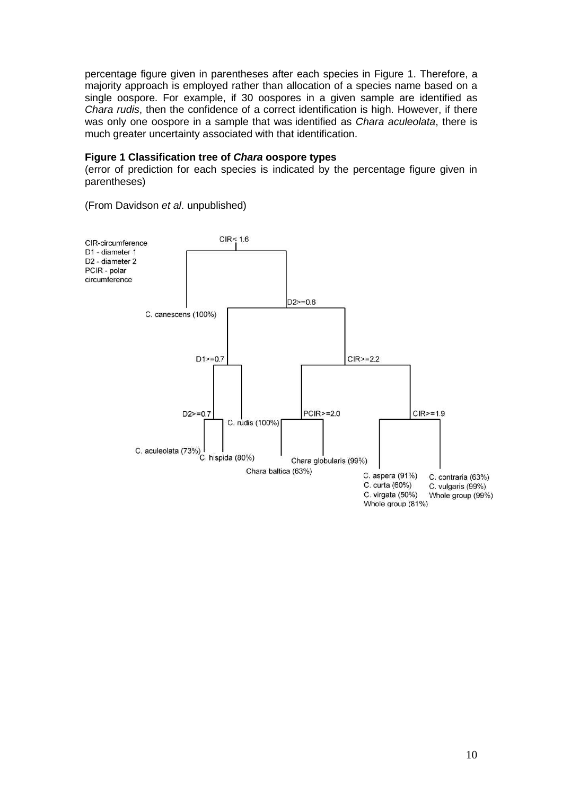percentage figure given in parentheses after each species in Figure 1. Therefore, a majority approach is employed rather than allocation of a species name based on a single oospore. For example, if 30 oospores in a given sample are identified as Chara rudis, then the confidence of a correct identification is high. However, if there was only one oospore in a sample that was identified as Chara aculeolata, there is much greater uncertainty associated with that identification.

#### **Figure 1 Classification tree of Chara oospore types**

(error of prediction for each species is indicated by the percentage figure given in parentheses)



(From Davidson et al. unpublished)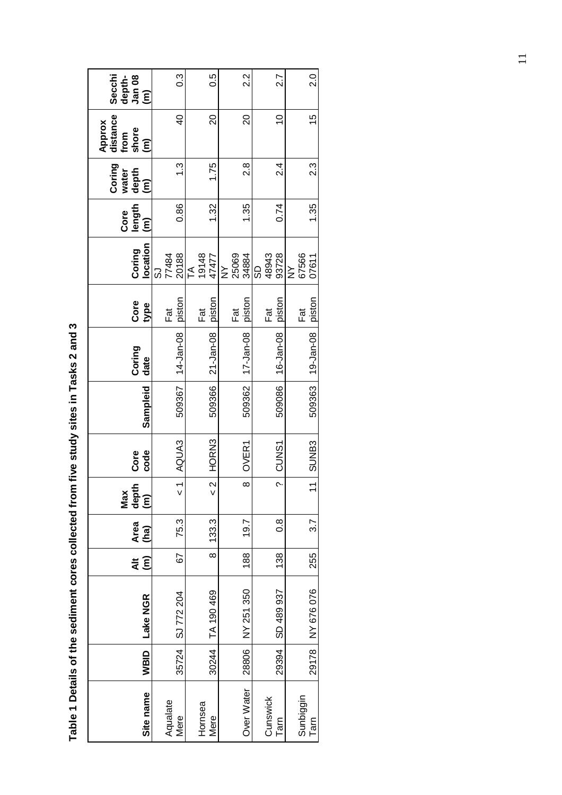| Site name         | WBID  | Lake NGR   | $\ddot{=}$<br>$\widehat{\epsilon}$ | Area<br>(ha)  | depth<br>(m)<br>Max      | code<br>Core | Sampleid | Coring<br>date  | Core<br>type     | location<br>Coring                     | length<br>Core<br>$\widehat{\epsilon}$ | <b>Coring</b><br>depth<br>water<br>ίm | Approx<br>distance<br>shore<br>from<br>$\widehat{\epsilon}$ | Secchi<br>depth-<br>Jan 08<br>$\widehat{\epsilon}$ |
|-------------------|-------|------------|------------------------------------|---------------|--------------------------|--------------|----------|-----------------|------------------|----------------------------------------|----------------------------------------|---------------------------------------|-------------------------------------------------------------|----------------------------------------------------|
| Aqualate<br>Mere  | 35724 | SJ 772 204 | 59                                 | 75.3          | $\frac{1}{\sqrt{2}}$     | AQUA3        | 509367   | 14-Jan-08       | piston<br>Fat    | 20188<br>77484<br>ပ                    | 0.86                                   | <u>ვ1</u>                             | $\overline{6}$                                              | 3.0                                                |
| Hornsea<br>Mere   | 30244 | TA 190 469 | $\infty$                           | 133.3         | $\frac{2}{x}$            | HORN3        | 509366   | 21-Jan-08       | piston<br>Fāt    | 19148<br>47477<br>TA<br>T              | 1.32                                   | 1.75                                  | $\overline{20}$                                             | 0.5                                                |
| Over Water        | 28806 | NY 251 350 | 188                                | 19.7          | $\infty$                 | OVER1        | 509362   | $17 - Jan - 08$ | piston<br>Fat    | 25069<br>34884<br>$\overline{z}$       | 1.35                                   | $\frac{8}{2}$                         | $\overline{20}$                                             | 22                                                 |
| Cunswick<br>Tarn  | 29394 | SD 489 937 | 138                                | $\frac{8}{1}$ | $\overline{\phantom{0}}$ | CUNS1        | 509086   | 16-Jan-08       | piston<br>ក<br>ក | 93728<br>48943<br>6                    | 0.74                                   | 24                                    | $\overline{C}$                                              | 2.7                                                |
| Sunbiggin<br>Tarn | 29178 | NY 676 076 | 255                                | 3.7           |                          | 11 SUNB3     | 509363   | 19-Jan-08       | piston<br>Fat    | 67566<br>07611<br>$\grave{\textsf{z}}$ | 1.35                                   | ر<br>2.3                              | 15                                                          | $\frac{0}{2}$                                      |

Table 1 Details of the sediment cores collected from five study sites in Tasks 2 and 3 **Table 1 Details of the sediment cores collected from five study sites in Tasks 2 and 3**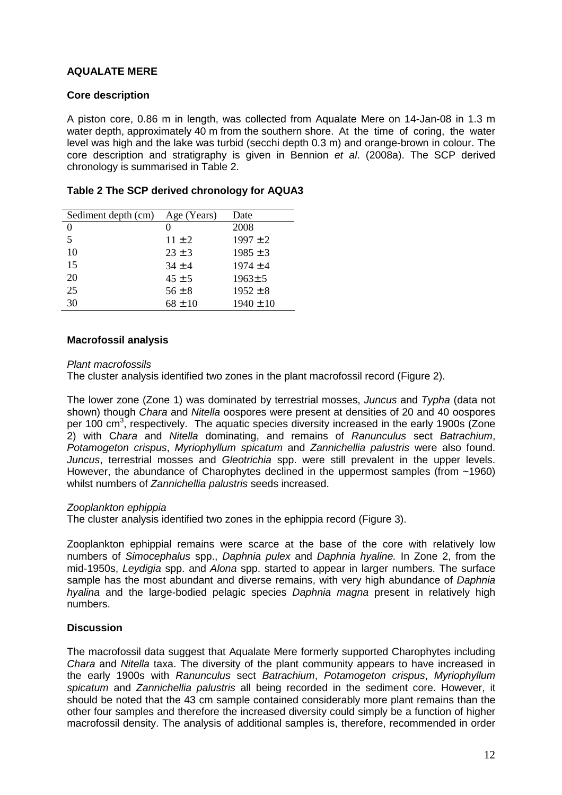# **AQUALATE MERE**

#### **Core description**

A piston core, 0.86 m in length, was collected from Aqualate Mere on 14-Jan-08 in 1.3 m water depth, approximately 40 m from the southern shore. At the time of coring, the water level was high and the lake was turbid (secchi depth 0.3 m) and orange-brown in colour. The core description and stratigraphy is given in Bennion et al. (2008a). The SCP derived chronology is summarised in Table 2.

| Sediment depth (cm) | Age (Years) | Date          |
|---------------------|-------------|---------------|
| 0                   |             | 2008          |
| 5                   | $11 + 2$    | $1997 \pm 2$  |
| 10                  | $23 \pm 3$  | $1985 \pm 3$  |
| 15                  | $34 \pm 4$  | $1974 \pm 4$  |
| 20                  | $45 \pm 5$  | $1963 \pm 5$  |
| 25                  | $56 \pm 8$  | $1952 \pm 8$  |
| 30                  | $68 \pm 10$ | $1940 \pm 10$ |

## **Table 2 The SCP derived chronology for AQUA3**

#### **Macrofossil analysis**

#### Plant macrofossils

The cluster analysis identified two zones in the plant macrofossil record (Figure 2).

The lower zone (Zone 1) was dominated by terrestrial mosses, Juncus and Typha (data not shown) though Chara and Nitella oospores were present at densities of 20 and 40 oospores per 100 cm<sup>3</sup>, respectively. The aquatic species diversity increased in the early 1900s (Zone 2) with Chara and Nitella dominating, and remains of Ranunculus sect Batrachium, Potamogeton crispus, Myriophyllum spicatum and Zannichellia palustris were also found. Juncus, terrestrial mosses and Gleotrichia spp. were still prevalent in the upper levels. However, the abundance of Charophytes declined in the uppermost samples (from ~1960) whilst numbers of Zannichellia palustris seeds increased.

#### Zooplankton ephippia

The cluster analysis identified two zones in the ephippia record (Figure 3).

Zooplankton ephippial remains were scarce at the base of the core with relatively low numbers of Simocephalus spp., Daphnia pulex and Daphnia hyaline. In Zone 2, from the mid-1950s, Leydigia spp. and Alona spp. started to appear in larger numbers. The surface sample has the most abundant and diverse remains, with very high abundance of Daphnia hyalina and the large-bodied pelagic species Daphnia magna present in relatively high numbers.

## **Discussion**

The macrofossil data suggest that Aqualate Mere formerly supported Charophytes including Chara and Nitella taxa. The diversity of the plant community appears to have increased in the early 1900s with Ranunculus sect Batrachium, Potamogeton crispus, Myriophyllum spicatum and Zannichellia palustris all being recorded in the sediment core. However, it should be noted that the 43 cm sample contained considerably more plant remains than the other four samples and therefore the increased diversity could simply be a function of higher macrofossil density. The analysis of additional samples is, therefore, recommended in order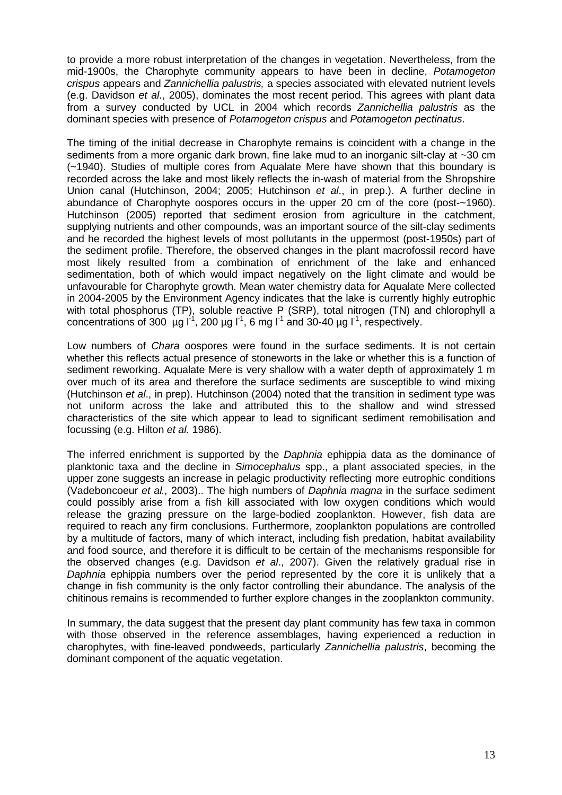to provide a more robust interpretation of the changes in vegetation. Nevertheless, from the mid-1900s, the Charophyte community appears to have been in decline. Potamogeton crispus appears and Zannichellia palustris, a species associated with elevated nutrient levels (e.g. Davidson et al., 2005), dominates the most recent period. This agrees with plant data from a survey conducted by UCL in 2004 which records Zannichellia palustris as the dominant species with presence of Potamogeton crispus and Potamogeton pectinatus.

The timing of the initial decrease in Charophyte remains is coincident with a change in the sediments from a more organic dark brown, fine lake mud to an inorganic silt-clay at ~30 cm (~1940). Studies of multiple cores from Aqualate Mere have shown that this boundary is recorded across the lake and most likely reflects the in-wash of material from the Shropshire Union canal (Hutchinson, 2004; 2005; Hutchinson et al., in prep.). A further decline in abundance of Charophyte oospores occurs in the upper 20 cm of the core (post-~1960). Hutchinson (2005) reported that sediment erosion from agriculture in the catchment, supplying nutrients and other compounds, was an important source of the silt-clay sediments and he recorded the highest levels of most pollutants in the uppermost (post-1950s) part of the sediment profile. Therefore, the observed changes in the plant macrofossil record have most likely resulted from a combination of enrichment of the lake and enhanced sedimentation, both of which would impact negatively on the light climate and would be unfavourable for Charophyte growth. Mean water chemistry data for Aqualate Mere collected in 2004-2005 by the Environment Agency indicates that the lake is currently highly eutrophic with total phosphorus (TP), soluble reactive P (SRP), total nitrogen (TN) and chlorophyll a concentrations of 300  $\mu$ g l<sup>-1</sup>, 200  $\mu$ g l<sup>-1</sup>, 6 mg l<sup>-1</sup> and 30-40  $\mu$ g l<sup>-1</sup>, respectively.

Low numbers of *Chara* oospores were found in the surface sediments. It is not certain whether this reflects actual presence of stoneworts in the lake or whether this is a function of sediment reworking. Aqualate Mere is very shallow with a water depth of approximately 1 m over much of its area and therefore the surface sediments are susceptible to wind mixing (Hutchinson et al., in prep). Hutchinson (2004) noted that the transition in sediment type was not uniform across the lake and attributed this to the shallow and wind stressed characteristics of the site which appear to lead to significant sediment remobilisation and focussing (e.g. Hilton et al. 1986).

The inferred enrichment is supported by the *Daphnia* ephippia data as the dominance of planktonic taxa and the decline in Simocephalus spp., a plant associated species, in the upper zone suggests an increase in pelagic productivity reflecting more eutrophic conditions (Vadeboncoeur et al., 2003).. The high numbers of Daphnia magna in the surface sediment could possibly arise from a fish kill associated with low oxygen conditions which would release the grazing pressure on the large-bodied zooplankton. However, fish data are required to reach any firm conclusions. Furthermore, zooplankton populations are controlled by a multitude of factors, many of which interact, including fish predation, habitat availability and food source, and therefore it is difficult to be certain of the mechanisms responsible for the observed changes (e.g. Davidson et al., 2007). Given the relatively gradual rise in Daphnia ephippia numbers over the period represented by the core it is unlikely that a change in fish community is the only factor controlling their abundance. The analysis of the chitinous remains is recommended to further explore changes in the zooplankton community.

In summary, the data suggest that the present day plant community has few taxa in common with those observed in the reference assemblages, having experienced a reduction in charophytes, with fine-leaved pondweeds, particularly Zannichellia palustris, becoming the dominant component of the aquatic vegetation.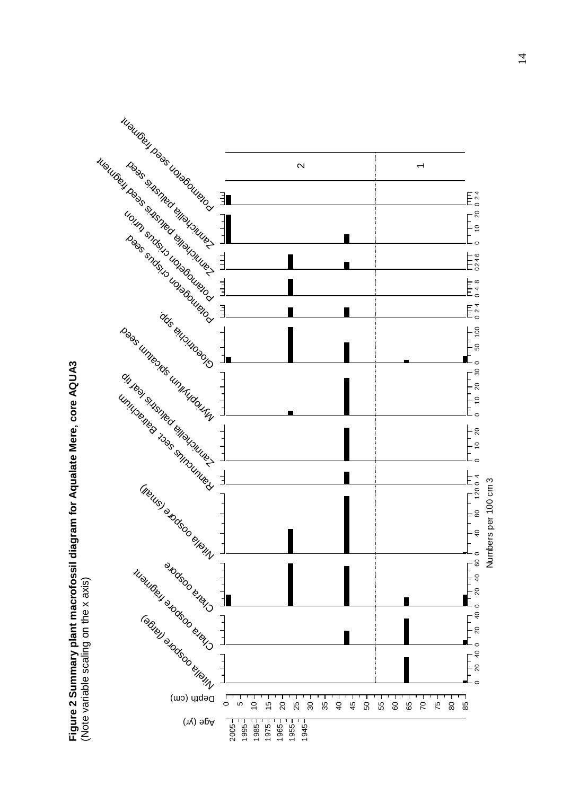

Figure 2 Summary plant macrofossil diagram for Aqualate Mere, core AQUA3<br>(Note variable scaling on the x axis) **Figure 2 Summary plant macrofossil diagram for Aqualate Mere, core AQUA3**  (Note variable scaling on the x axis)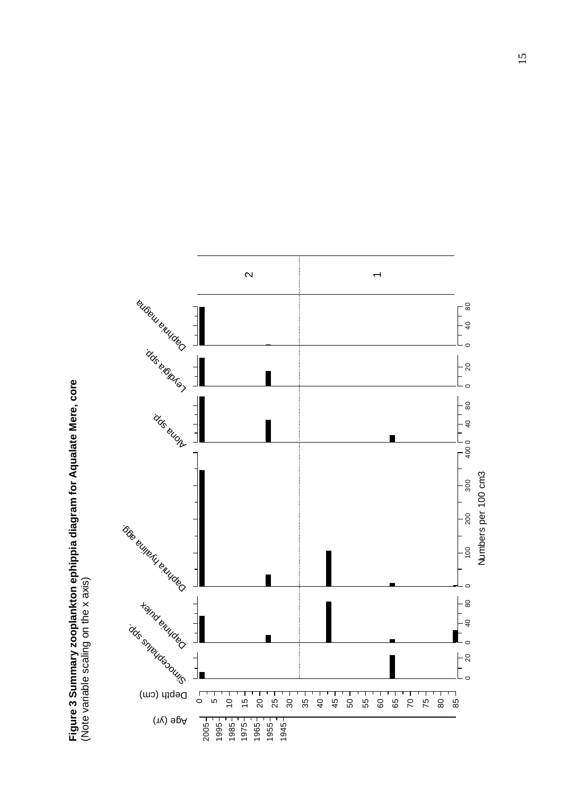Figure 3 Summary zooplankton ephippia diagram for Aqualate Mere, core<br>(Note variable scaling on the x axis) **Figure 3 Summary zooplankton ephippia diagram for Aqualate Mere, core**  (Note variable scaling on the x axis)

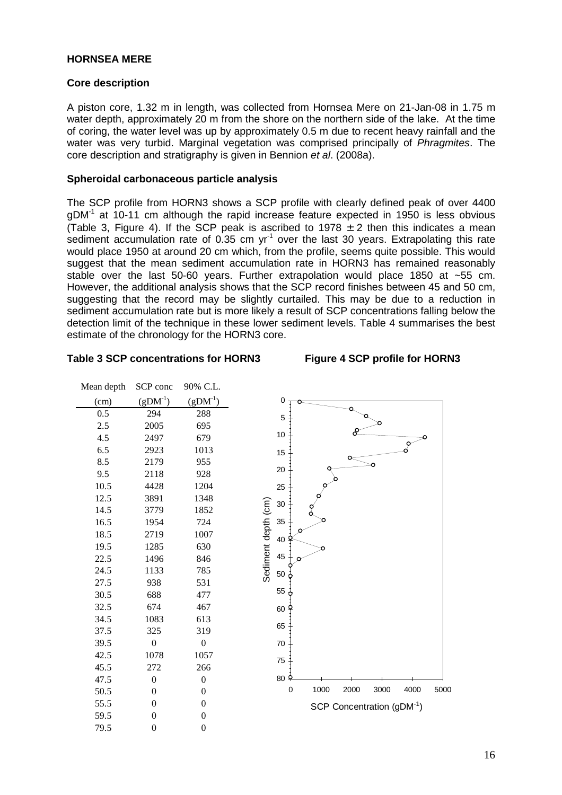#### **HORNSEA MERE**

#### **Core description**

A piston core, 1.32 m in length, was collected from Hornsea Mere on 21-Jan-08 in 1.75 m water depth, approximately 20 m from the shore on the northern side of the lake. At the time of coring, the water level was up by approximately 0.5 m due to recent heavy rainfall and the water was very turbid. Marginal vegetation was comprised principally of *Phragmites*. The core description and stratigraphy is given in Bennion et al. (2008a).

#### **Spheroidal carbonaceous particle analysis**

The SCP profile from HORN3 shows a SCP profile with clearly defined peak of over 4400  $gDM^{-1}$  at 10-11 cm although the rapid increase feature expected in 1950 is less obvious (Table 3, Figure 4). If the SCP peak is ascribed to 1978  $\pm$  2 then this indicates a mean sediment accumulation rate of 0.35 cm  $yr<sup>-1</sup>$  over the last 30 years. Extrapolating this rate would place 1950 at around 20 cm which, from the profile, seems quite possible. This would suggest that the mean sediment accumulation rate in HORN3 has remained reasonably stable over the last 50-60 years. Further extrapolation would place 1850 at ~55 cm. However, the additional analysis shows that the SCP record finishes between 45 and 50 cm, suggesting that the record may be slightly curtailed. This may be due to a reduction in sediment accumulation rate but is more likely a result of SCP concentrations falling below the detection limit of the technique in these lower sediment levels. Table 4 summarises the best estimate of the chronology for the HORN3 core.

#### **Table 3 SCP concentrations for HORN3 Figure 4 SCP profile for HORN3**

| Mean depth | SCP conc         | 90% C.L.         |
|------------|------------------|------------------|
| (cm)       | $(gDM-1)$        | $(gDM^1)$        |
| 0.5        | 294              | 288              |
| 2.5        | 2005             | 695              |
| 4.5        | 2497             | 679              |
| 6.5        | 2923             | 1013             |
| 8.5        | 2179             | 955              |
| 9.5        | 2118             | 928              |
| 10.5       | 4428             | 1204             |
| 12.5       | 3891             | 1348             |
| 14.5       | 3779             | 1852             |
| 16.5       | 1954             | 724              |
| 18.5       | 2719             | 1007             |
| 19.5       | 1285             | 630              |
| 22.5       | 1496             | 846              |
| 24.5       | 1133             | 785              |
| 27.5       | 938              | 531              |
| 30.5       | 688              | 477              |
| 32.5       | 674              | 467              |
| 34.5       | 1083             | 613              |
| 37.5       | 325              | 319              |
| 39.5       | 0                | $\boldsymbol{0}$ |
| 42.5       | 1078             | 1057             |
| 45.5       | 272              | 266              |
| 47.5       | $\boldsymbol{0}$ | $\boldsymbol{0}$ |
| 50.5       | $\mathbf{0}$     | $\overline{0}$   |
| 55.5       | $\overline{0}$   | $\overline{0}$   |
| 59.5       | $\overline{0}$   | $\overline{0}$   |
| 79.5       | $\overline{0}$   | $\overline{0}$   |

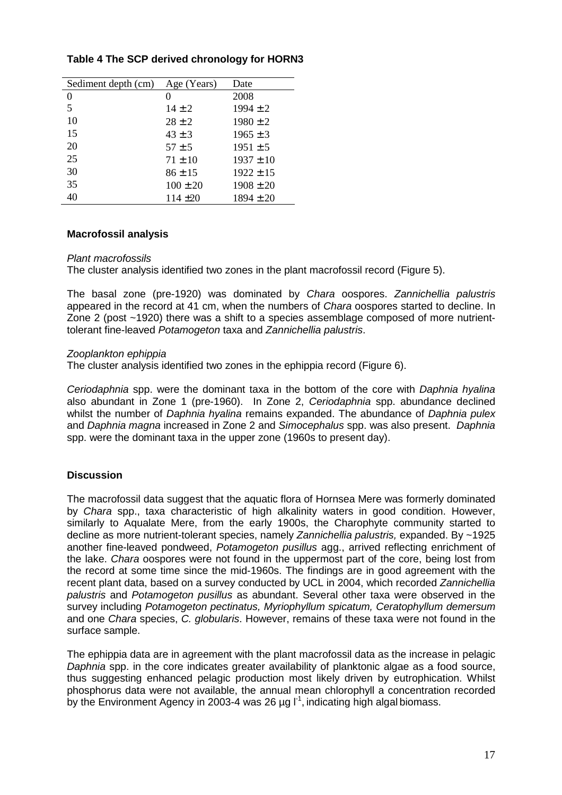| Sediment depth (cm) | Age (Years)  | Date          |
|---------------------|--------------|---------------|
| 0                   | 0            | 2008          |
| 5                   | $14 \pm 2$   | $1994 \pm 2$  |
| 10                  | $28 \pm 2$   | $1980 \pm 2$  |
| 15                  | $43 \pm 3$   | $1965 \pm 3$  |
| 20                  | $57 \pm 5$   | $1951 \pm 5$  |
| 25                  | $71 \pm 10$  | $1937 \pm 10$ |
| 30                  | $86 \pm 15$  | $1922 \pm 15$ |
| 35                  | $100 \pm 20$ | $1908 \pm 20$ |
| 40                  | $114 \pm 20$ | $1894 \pm 20$ |

# **Table 4 The SCP derived chronology for HORN3**

## **Macrofossil analysis**

#### Plant macrofossils

The cluster analysis identified two zones in the plant macrofossil record (Figure 5).

The basal zone (pre-1920) was dominated by Chara oospores. Zannichellia palustris appeared in the record at 41 cm, when the numbers of Chara oospores started to decline. In Zone 2 (post ~1920) there was a shift to a species assemblage composed of more nutrienttolerant fine-leaved Potamogeton taxa and Zannichellia palustris.

#### Zooplankton ephippia

The cluster analysis identified two zones in the ephippia record (Figure 6).

Ceriodaphnia spp. were the dominant taxa in the bottom of the core with Daphnia hyalina also abundant in Zone 1 (pre-1960). In Zone 2, Ceriodaphnia spp. abundance declined whilst the number of *Daphnia hyalina* remains expanded. The abundance of *Daphnia pulex* and Daphnia magna increased in Zone 2 and Simocephalus spp. was also present. Daphnia spp. were the dominant taxa in the upper zone (1960s to present day).

## **Discussion**

The macrofossil data suggest that the aquatic flora of Hornsea Mere was formerly dominated by Chara spp., taxa characteristic of high alkalinity waters in good condition. However, similarly to Aqualate Mere, from the early 1900s, the Charophyte community started to decline as more nutrient-tolerant species, namely Zannichellia palustris, expanded. By ~1925 another fine-leaved pondweed, Potamogeton pusillus agg., arrived reflecting enrichment of the lake. Chara oospores were not found in the uppermost part of the core, being lost from the record at some time since the mid-1960s. The findings are in good agreement with the recent plant data, based on a survey conducted by UCL in 2004, which recorded Zannichellia palustris and Potamogeton pusillus as abundant. Several other taxa were observed in the survey including Potamogeton pectinatus, Myriophyllum spicatum, Ceratophyllum demersum and one Chara species, C. globularis. However, remains of these taxa were not found in the surface sample.

The ephippia data are in agreement with the plant macrofossil data as the increase in pelagic Daphnia spp. in the core indicates greater availability of planktonic algae as a food source, thus suggesting enhanced pelagic production most likely driven by eutrophication. Whilst phosphorus data were not available, the annual mean chlorophyll a concentration recorded by the Environment Agency in 2003-4 was 26  $\mu$ g l<sup>-1</sup>, indicating high algal biomass.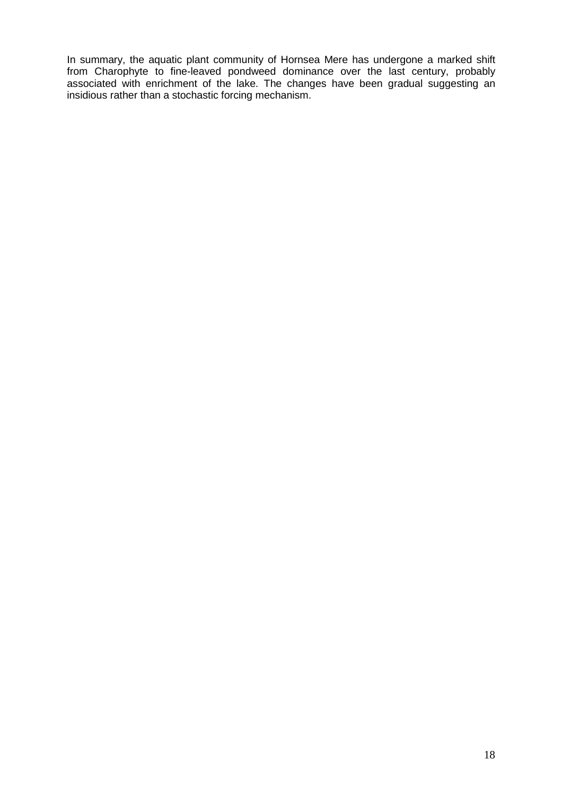In summary, the aquatic plant community of Hornsea Mere has undergone a marked shift from Charophyte to fine-leaved pondweed dominance over the last century, probably associated with enrichment of the lake. The changes have been gradual suggesting an insidious rather than a stochastic forcing mechanism.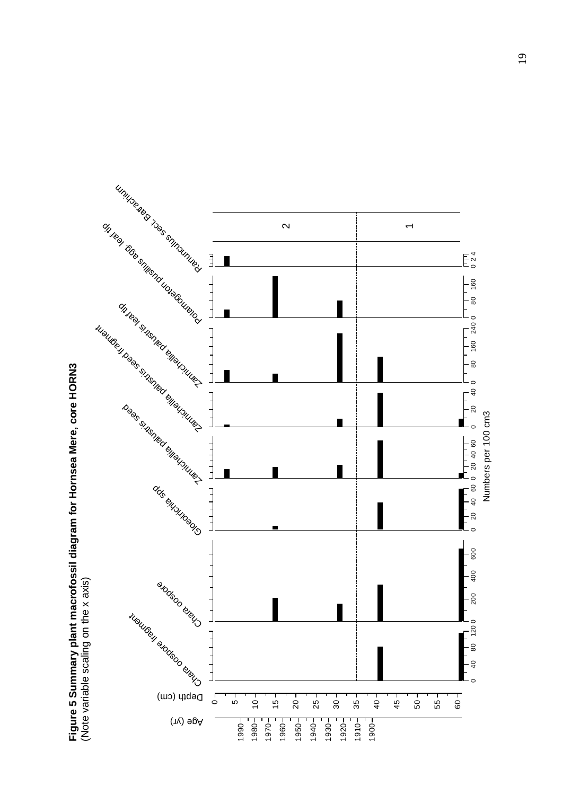

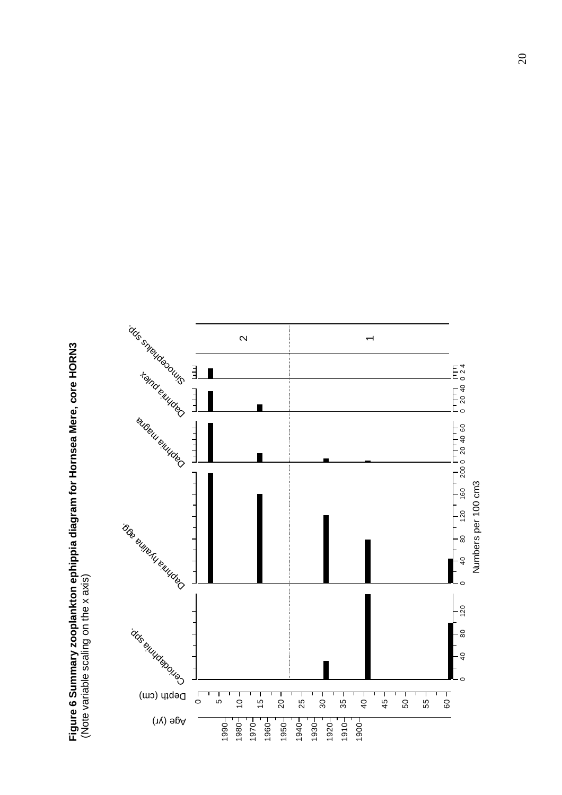Figure 6 Summary zooplankton ephippia diagram for Hornsea Mere, core HORN3<br>(Note variable scaling on the x axis) **Figure 6 Summary zooplankton ephippia diagram for Hornsea Mere, core HORN3**  (Note variable scaling on the x axis)

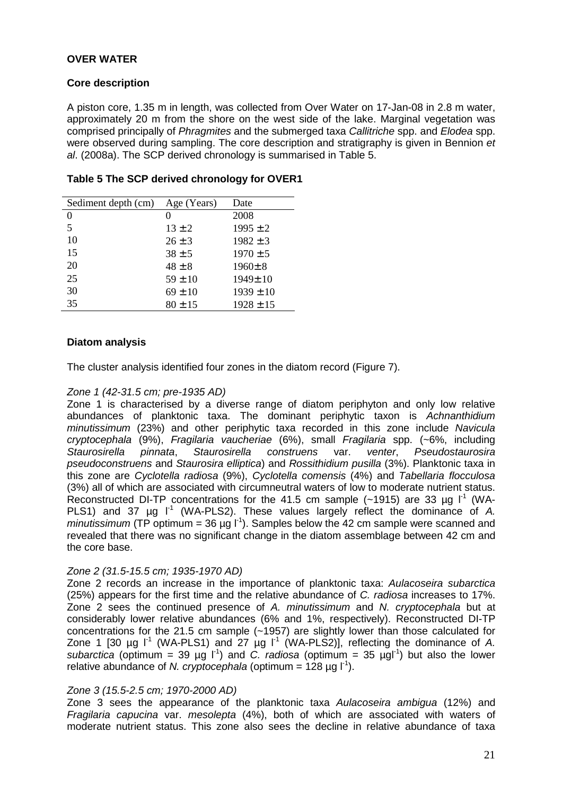# **OVER WATER**

## **Core description**

A piston core, 1.35 m in length, was collected from Over Water on 17-Jan-08 in 2.8 m water, approximately 20 m from the shore on the west side of the lake. Marginal vegetation was comprised principally of Phragmites and the submerged taxa Callitriche spp. and Elodea spp. were observed during sampling. The core description and stratigraphy is given in Bennion et al. (2008a). The SCP derived chronology is summarised in Table 5.

| Sediment depth (cm) | Age (Years) | Date          |
|---------------------|-------------|---------------|
| 0                   |             | 2008          |
| 5                   | $13 \pm 2$  | $1995 \pm 2$  |
| 10                  | $26 \pm 3$  | $1982 \pm 3$  |
| 15                  | $38 \pm 5$  | $1970 \pm 5$  |
| 20                  | $48 \pm 8$  | $1960 \pm 8$  |
| 25                  | $59 \pm 10$ | 1949±10       |
| 30                  | $69 \pm 10$ | $1939 \pm 10$ |
| 35                  | $80 \pm 15$ | $1928 \pm 15$ |

#### **Table 5 The SCP derived chronology for OVER1**

#### **Diatom analysis**

The cluster analysis identified four zones in the diatom record (Figure 7).

#### Zone 1 (42-31.5 cm; pre-1935 AD)

Zone 1 is characterised by a diverse range of diatom periphyton and only low relative abundances of planktonic taxa. The dominant periphytic taxon is Achnanthidium minutissimum (23%) and other periphytic taxa recorded in this zone include Navicula cryptocephala (9%), Fragilaria vaucheriae (6%), small Fragilaria spp. (~6%, including Staurosirella pinnata, Staurosirella construens var. venter, Pseudostaurosira pseudoconstruens and Staurosira elliptica) and Rossithidium pusilla (3%). Planktonic taxa in this zone are Cyclotella radiosa (9%), Cyclotella comensis (4%) and Tabellaria flocculosa (3%) all of which are associated with circumneutral waters of low to moderate nutrient status. Reconstructed DI-TP concentrations for the 41.5 cm sample ( $\sim$ 1915) are 33 µg l<sup>1</sup> (WA-PLS1) and 37  $\mu$ g l<sup>-1</sup> (WA-PLS2). These values largely reflect the dominance of A. minutissimum (TP optimum = 36 ug  $L^{1}$ ). Samples below the 42 cm sample were scanned and revealed that there was no significant change in the diatom assemblage between 42 cm and the core base.

#### Zone 2 (31.5-15.5 cm; 1935-1970 AD)

Zone 2 records an increase in the importance of planktonic taxa: Aulacoseira subarctica (25%) appears for the first time and the relative abundance of C. radiosa increases to 17%. Zone 2 sees the continued presence of A. minutissimum and N. cryptocephala but at considerably lower relative abundances (6% and 1%, respectively). Reconstructed DI-TP concentrations for the 21.5 cm sample  $(-1957)$  are slightly lower than those calculated for Zone 1 [30  $\mu$ g l<sup>-1</sup> (WA-PLS1) and 27  $\mu$ g l<sup>-1</sup> (WA-PLS2)], reflecting the dominance of A. subarctica (optimum = 39 µg  $\vert$ <sup>1</sup>) and C. radiosa (optimum = 35 µgl<sup>-1</sup>) but also the lower relative abundance of *N. cryptocephala* (optimum = 128  $\mu$ g l<sup>-1</sup>).

#### Zone 3 (15.5-2.5 cm; 1970-2000 AD)

Zone 3 sees the appearance of the planktonic taxa Aulacoseira ambigua (12%) and Fragilaria capucina var. mesolepta (4%), both of which are associated with waters of moderate nutrient status. This zone also sees the decline in relative abundance of taxa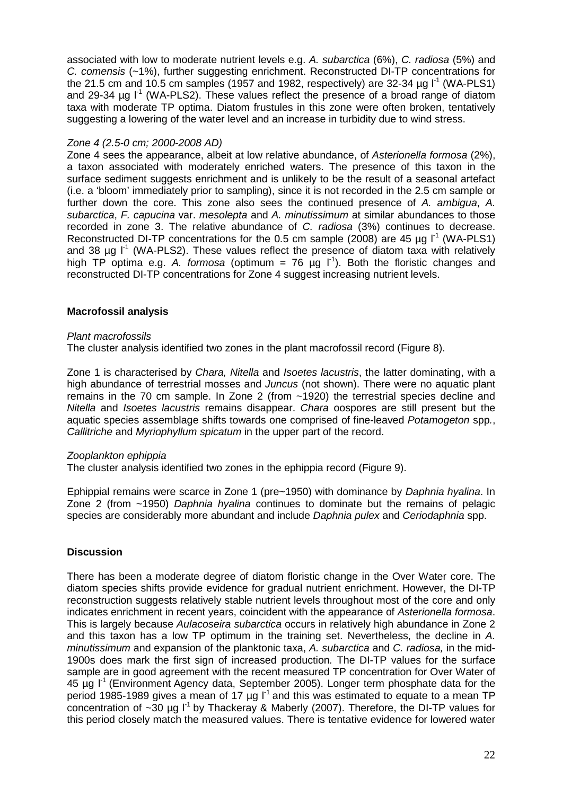associated with low to moderate nutrient levels e.g. A. subarctica (6%), C. radiosa (5%) and C. comensis (~1%), further suggesting enrichment. Reconstructed DI-TP concentrations for the 21.5 cm and 10.5 cm samples (1957 and 1982, respectively) are 32-34  $\mu$ g l<sup>-1</sup> (WA-PLS1) and 29-34  $\mu$ g l<sup>-1</sup> (WA-PLS2). These values reflect the presence of a broad range of diatom taxa with moderate TP optima. Diatom frustules in this zone were often broken, tentatively suggesting a lowering of the water level and an increase in turbidity due to wind stress.

# Zone 4 (2.5-0 cm; 2000-2008 AD)

Zone 4 sees the appearance, albeit at low relative abundance, of Asterionella formosa (2%), a taxon associated with moderately enriched waters. The presence of this taxon in the surface sediment suggests enrichment and is unlikely to be the result of a seasonal artefact (i.e. a 'bloom' immediately prior to sampling), since it is not recorded in the 2.5 cm sample or further down the core. This zone also sees the continued presence of A. ambigua, A. subarctica, F. capucina var. mesolepta and A. minutissimum at similar abundances to those recorded in zone 3. The relative abundance of C. radiosa (3%) continues to decrease. Reconstructed DI-TP concentrations for the 0.5 cm sample (2008) are 45  $\mu$ q l<sup>-1</sup> (WA-PLS1) and 38  $\mu$ g l<sup>-1</sup> (WA-PLS2). These values reflect the presence of diatom taxa with relatively high TP optima e.g. A. formosa (optimum = 76  $\mu$ g l<sup>-1</sup>). Both the floristic changes and reconstructed DI-TP concentrations for Zone 4 suggest increasing nutrient levels.

## **Macrofossil analysis**

#### Plant macrofossils

The cluster analysis identified two zones in the plant macrofossil record (Figure 8).

Zone 1 is characterised by Chara, Nitella and Isoetes lacustris, the latter dominating, with a high abundance of terrestrial mosses and *Juncus* (not shown). There were no aquatic plant remains in the 70 cm sample. In Zone 2 (from ~1920) the terrestrial species decline and Nitella and Isoetes lacustris remains disappear. Chara oospores are still present but the aquatic species assemblage shifts towards one comprised of fine-leaved Potamogeton spp., Callitriche and Myriophyllum spicatum in the upper part of the record.

## Zooplankton ephippia

The cluster analysis identified two zones in the ephippia record (Figure 9).

Ephippial remains were scarce in Zone 1 (pre~1950) with dominance by *Daphnia hyalina*. In Zone 2 (from ~1950) Daphnia hyalina continues to dominate but the remains of pelagic species are considerably more abundant and include Daphnia pulex and Ceriodaphnia spp.

## **Discussion**

There has been a moderate degree of diatom floristic change in the Over Water core. The diatom species shifts provide evidence for gradual nutrient enrichment. However, the DI-TP reconstruction suggests relatively stable nutrient levels throughout most of the core and only indicates enrichment in recent years, coincident with the appearance of Asterionella formosa. This is largely because Aulacoseira subarctica occurs in relatively high abundance in Zone 2 and this taxon has a low TP optimum in the training set. Nevertheless, the decline in A. minutissimum and expansion of the planktonic taxa, A. subarctica and C. radiosa, in the mid-1900s does mark the first sign of increased production. The DI-TP values for the surface sample are in good agreement with the recent measured TP concentration for Over Water of  $45 \mu g$   $I^1$  (Environment Agency data, September 2005). Longer term phosphate data for the period 1985-1989 gives a mean of 17  $\mu$ g  $I^1$  and this was estimated to equate to a mean TP concentration of  $\sim$ 30 µg  $I^1$  by Thackeray & Maberly (2007). Therefore, the DI-TP values for this period closely match the measured values. There is tentative evidence for lowered water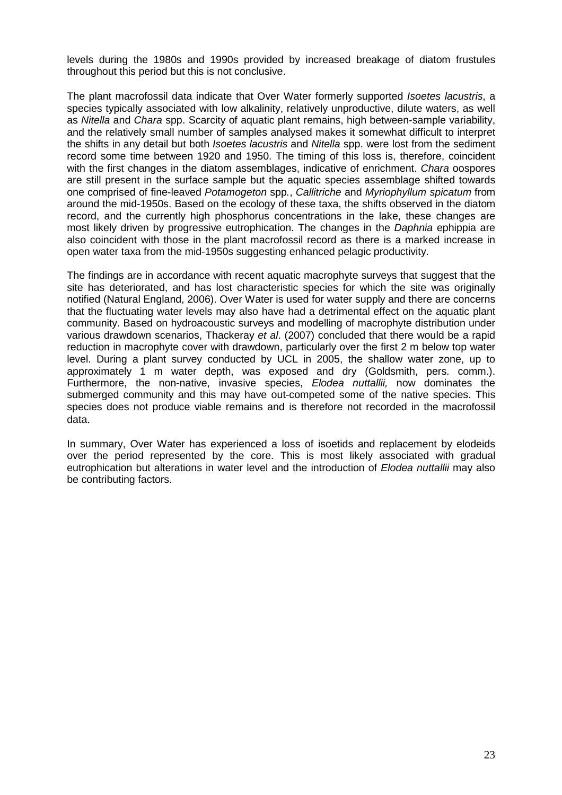levels during the 1980s and 1990s provided by increased breakage of diatom frustules throughout this period but this is not conclusive.

The plant macrofossil data indicate that Over Water formerly supported *Isoetes lacustris*, a species typically associated with low alkalinity, relatively unproductive, dilute waters, as well as Nitella and Chara spp. Scarcity of aquatic plant remains, high between-sample variability, and the relatively small number of samples analysed makes it somewhat difficult to interpret the shifts in any detail but both *Isoetes lacustris* and *Nitella* spp. were lost from the sediment record some time between 1920 and 1950. The timing of this loss is, therefore, coincident with the first changes in the diatom assemblages, indicative of enrichment. Chara oospores are still present in the surface sample but the aquatic species assemblage shifted towards one comprised of fine-leaved Potamogeton spp., Callitriche and Myriophyllum spicatum from around the mid-1950s. Based on the ecology of these taxa, the shifts observed in the diatom record, and the currently high phosphorus concentrations in the lake, these changes are most likely driven by progressive eutrophication. The changes in the *Daphnia* ephippia are also coincident with those in the plant macrofossil record as there is a marked increase in open water taxa from the mid-1950s suggesting enhanced pelagic productivity.

The findings are in accordance with recent aquatic macrophyte surveys that suggest that the site has deteriorated, and has lost characteristic species for which the site was originally notified (Natural England, 2006). Over Water is used for water supply and there are concerns that the fluctuating water levels may also have had a detrimental effect on the aquatic plant community. Based on hydroacoustic surveys and modelling of macrophyte distribution under various drawdown scenarios, Thackeray et al. (2007) concluded that there would be a rapid reduction in macrophyte cover with drawdown, particularly over the first 2 m below top water level. During a plant survey conducted by UCL in 2005, the shallow water zone, up to approximately 1 m water depth, was exposed and dry (Goldsmith, pers. comm.). Furthermore, the non-native, invasive species, Elodea nuttallii, now dominates the submerged community and this may have out-competed some of the native species. This species does not produce viable remains and is therefore not recorded in the macrofossil data.

In summary, Over Water has experienced a loss of isoetids and replacement by elodeids over the period represented by the core. This is most likely associated with gradual eutrophication but alterations in water level and the introduction of Elodea nuttallii may also be contributing factors.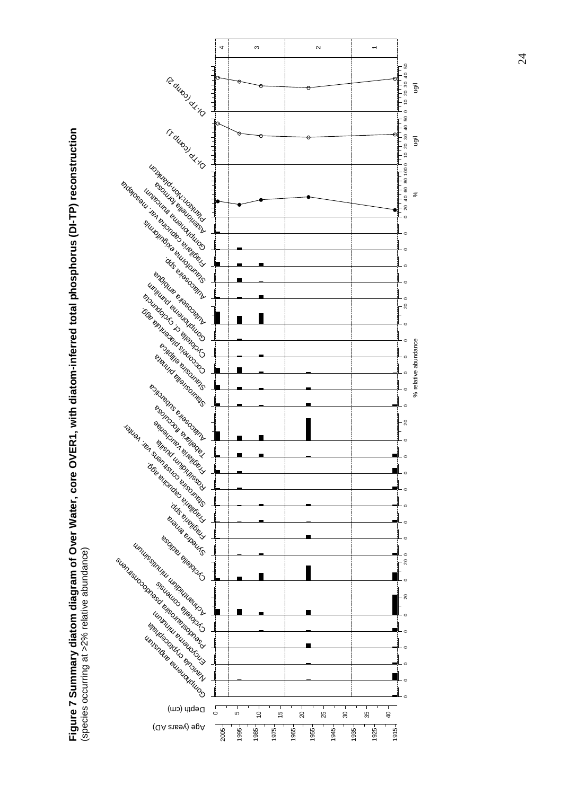

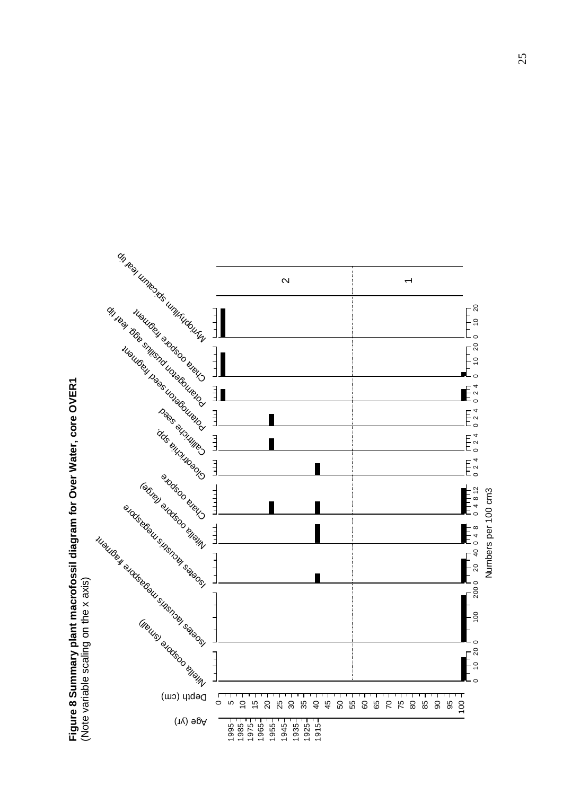

**Figure 8 Summary plant macrofossil diagram for Over Water, core OVER1**  Figure 8 Summary plant macrofossil diagram for Over Water, core OVER1<br>(Note variable scaling on the x axis)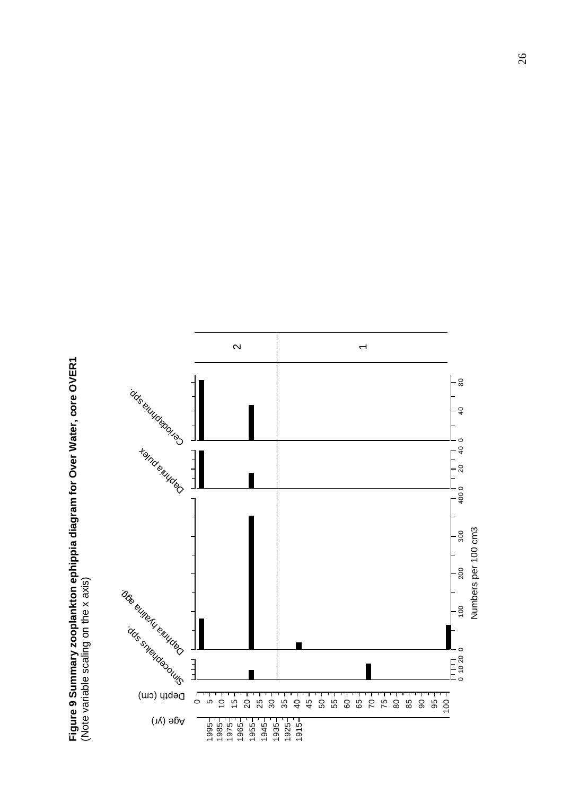**Figure 9 Summary zooplankton ephippia diagram for Over Water, core OVER1**  Figure 9 Summary zooplankton ephippia diagram for Over Water, core OVER1<br>(Note variable scaling on the x axis) (Note variable scaling on the x axis)

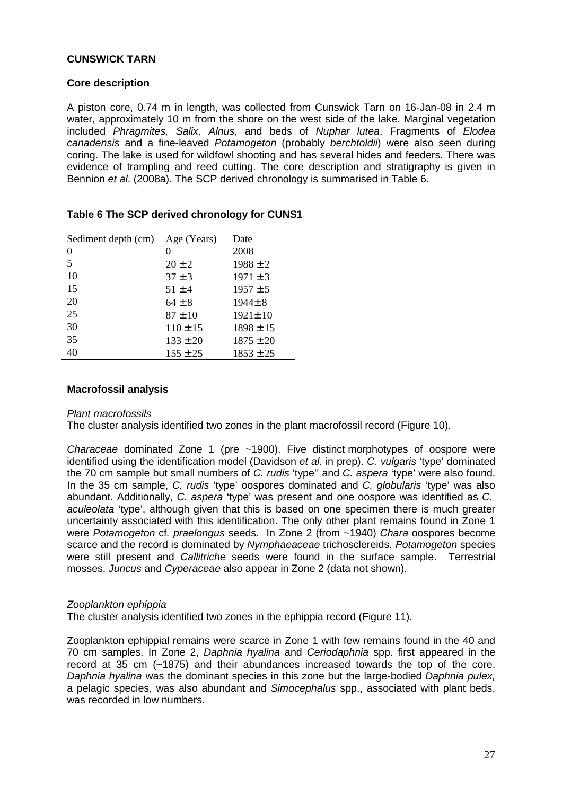## **CUNSWICK TARN**

## **Core description**

A piston core, 0.74 m in length, was collected from Cunswick Tarn on 16-Jan-08 in 2.4 m water, approximately 10 m from the shore on the west side of the lake. Marginal vegetation included Phragmites, Salix, Alnus, and beds of Nuphar lutea. Fragments of Elodea canadensis and a fine-leaved Potamogeton (probably berchtoldii) were also seen during coring. The lake is used for wildfowl shooting and has several hides and feeders. There was evidence of trampling and reed cutting. The core description and stratigraphy is given in Bennion et al. (2008a). The SCP derived chronology is summarised in Table 6.

| Sediment depth (cm) | Age (Years)  | Date          |
|---------------------|--------------|---------------|
| 0                   | 0            | 2008          |
| 5                   | $20 \pm 2$   | $1988 \pm 2$  |
| 10                  | $37 \pm 3$   | $1971 \pm 3$  |
| 15                  | $51 \pm 4$   | $1957 \pm 5$  |
| 20                  | $64 \pm 8$   | $1944 \pm 8$  |
| 25                  | $87 \pm 10$  | $1921 \pm 10$ |
| 30                  | $110 \pm 15$ | $1898 \pm 15$ |
| 35                  | $133 \pm 20$ | $1875 \pm 20$ |
| 40                  | $155 \pm 25$ | $1853 \pm 25$ |

# **Table 6 The SCP derived chronology for CUNS1**

#### **Macrofossil analysis**

#### Plant macrofossils

The cluster analysis identified two zones in the plant macrofossil record (Figure 10).

Characeae dominated Zone 1 (pre ~1900). Five distinct morphotypes of oospore were identified using the identification model (Davidson et al. in prep). C. vulgaris 'type' dominated the 70 cm sample but small numbers of C. rudis 'type'' and C. aspera 'type' were also found. In the 35 cm sample, C. rudis 'type' oospores dominated and C. globularis 'type' was also abundant. Additionally, C. aspera 'type' was present and one oospore was identified as C. aculeolata 'type', although given that this is based on one specimen there is much greater uncertainty associated with this identification. The only other plant remains found in Zone 1 were Potamogeton cf. praelongus seeds. In Zone 2 (from ~1940) Chara oospores become scarce and the record is dominated by Nymphaeaceae trichosclereids. Potamogeton species were still present and Callitriche seeds were found in the surface sample. Terrestrial mosses, Juncus and Cyperaceae also appear in Zone 2 (data not shown).

## Zooplankton ephippia

The cluster analysis identified two zones in the ephippia record (Figure 11).

Zooplankton ephippial remains were scarce in Zone 1 with few remains found in the 40 and 70 cm samples. In Zone 2, Daphnia hyalina and Ceriodaphnia spp. first appeared in the record at 35 cm (~1875) and their abundances increased towards the top of the core. Daphnia hyalina was the dominant species in this zone but the large-bodied Daphnia pulex, a pelagic species, was also abundant and Simocephalus spp., associated with plant beds, was recorded in low numbers.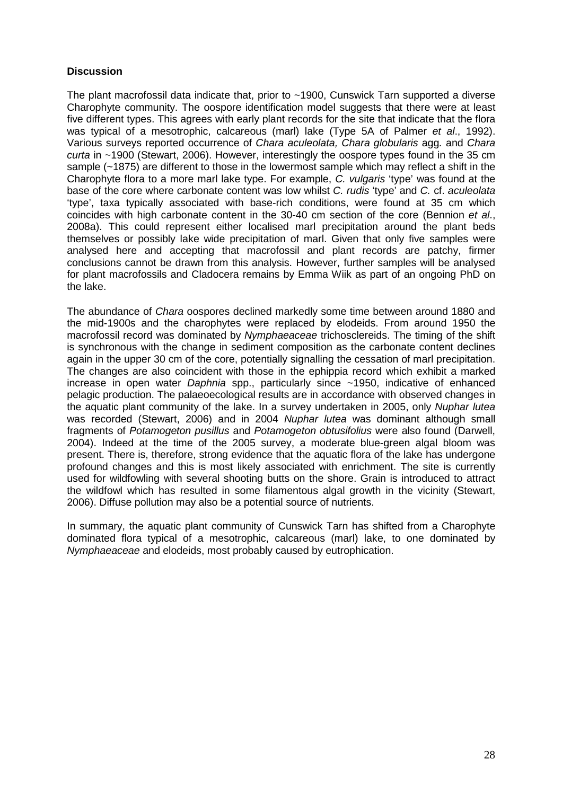# **Discussion**

The plant macrofossil data indicate that, prior to ~1900, Cunswick Tarn supported a diverse Charophyte community. The oospore identification model suggests that there were at least five different types. This agrees with early plant records for the site that indicate that the flora was typical of a mesotrophic, calcareous (marl) lake (Type 5A of Palmer et al., 1992). Various surveys reported occurrence of Chara aculeolata, Chara globularis agg. and Chara curta in ~1900 (Stewart, 2006). However, interestingly the oospore types found in the 35 cm sample (~1875) are different to those in the lowermost sample which may reflect a shift in the Charophyte flora to a more marl lake type. For example, C. vulgaris 'type' was found at the base of the core where carbonate content was low whilst C. rudis 'type' and C. cf. aculeolata 'type', taxa typically associated with base-rich conditions, were found at 35 cm which coincides with high carbonate content in the 30-40 cm section of the core (Bennion et al., 2008a). This could represent either localised marl precipitation around the plant beds themselves or possibly lake wide precipitation of marl. Given that only five samples were analysed here and accepting that macrofossil and plant records are patchy, firmer conclusions cannot be drawn from this analysis. However, further samples will be analysed for plant macrofossils and Cladocera remains by Emma Wiik as part of an ongoing PhD on the lake.

The abundance of Chara oospores declined markedly some time between around 1880 and the mid-1900s and the charophytes were replaced by elodeids. From around 1950 the macrofossil record was dominated by Nymphaeaceae trichosclereids. The timing of the shift is synchronous with the change in sediment composition as the carbonate content declines again in the upper 30 cm of the core, potentially signalling the cessation of marl precipitation. The changes are also coincident with those in the ephippia record which exhibit a marked increase in open water Daphnia spp., particularly since ~1950, indicative of enhanced pelagic production. The palaeoecological results are in accordance with observed changes in the aquatic plant community of the lake. In a survey undertaken in 2005, only Nuphar lutea was recorded (Stewart, 2006) and in 2004 Nuphar lutea was dominant although small fragments of Potamogeton pusillus and Potamogeton obtusifolius were also found (Darwell, 2004). Indeed at the time of the 2005 survey, a moderate blue-green algal bloom was present. There is, therefore, strong evidence that the aquatic flora of the lake has undergone profound changes and this is most likely associated with enrichment. The site is currently used for wildfowling with several shooting butts on the shore. Grain is introduced to attract the wildfowl which has resulted in some filamentous algal growth in the vicinity (Stewart, 2006). Diffuse pollution may also be a potential source of nutrients.

In summary, the aquatic plant community of Cunswick Tarn has shifted from a Charophyte dominated flora typical of a mesotrophic, calcareous (marl) lake, to one dominated by Nymphaeaceae and elodeids, most probably caused by eutrophication.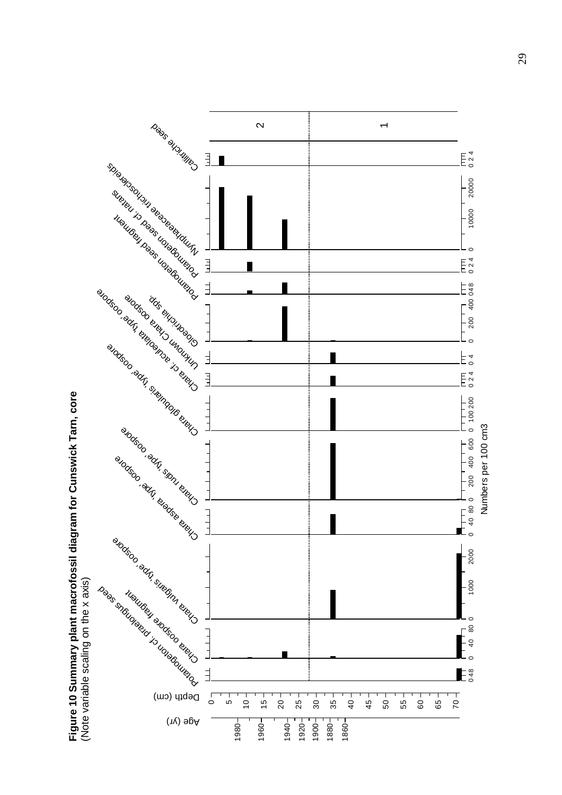

**Figure 10 Summary plant macrofossil diagram for Cunswick Tarn, core**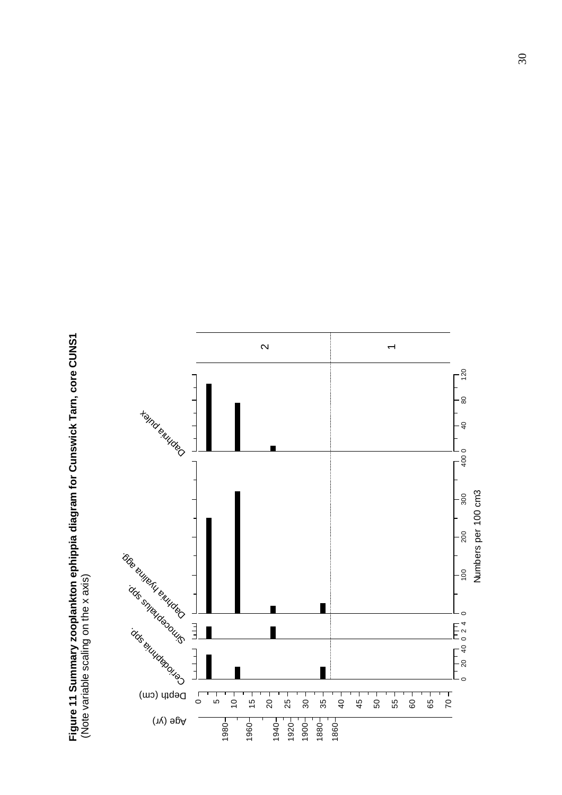Figure 11 Summary zooplankton ephippia diagram for Cunswick Tarn, core CUNS1<br>(Note variable scaling on the x axis) **Figure 11 Summary zooplankton ephippia diagram for Cunswick Tarn, core CUNS1**  (Note variable scaling on the x axis)

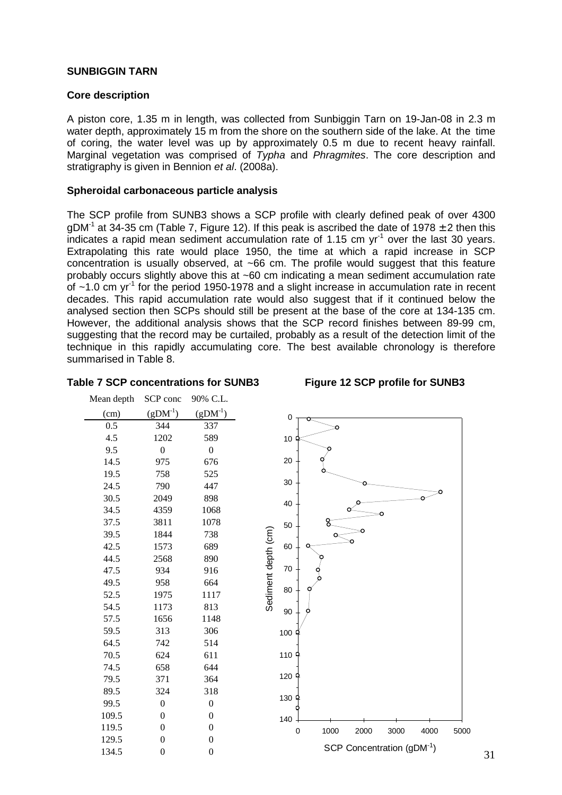# **SUNBIGGIN TARN**

## **Core description**

A piston core, 1.35 m in length, was collected from Sunbiggin Tarn on 19-Jan-08 in 2.3 m water depth, approximately 15 m from the shore on the southern side of the lake. At the time of coring, the water level was up by approximately 0.5 m due to recent heavy rainfall. Marginal vegetation was comprised of Typha and Phragmites. The core description and stratigraphy is given in Bennion et al. (2008a).

#### **Spheroidal carbonaceous particle analysis**

The SCP profile from SUNB3 shows a SCP profile with clearly defined peak of over 4300  $qDM<sup>-1</sup>$  at 34-35 cm (Table 7, Figure 12). If this peak is ascribed the date of 1978  $\pm$  2 then this indicates a rapid mean sediment accumulation rate of 1.15 cm  $yr<sup>-1</sup>$  over the last 30 years. Extrapolating this rate would place 1950, the time at which a rapid increase in SCP concentration is usually observed, at ~66 cm. The profile would suggest that this feature probably occurs slightly above this at ~60 cm indicating a mean sediment accumulation rate of  $\sim$ 1.0 cm yr<sup>-1</sup> for the period 1950-1978 and a slight increase in accumulation rate in recent decades. This rapid accumulation rate would also suggest that if it continued below the analysed section then SCPs should still be present at the base of the core at 134-135 cm. However, the additional analysis shows that the SCP record finishes between 89-99 cm, suggesting that the record may be curtailed, probably as a result of the detection limit of the technique in this rapidly accumulating core. The best available chronology is therefore summarised in Table 8.

#### **Table 7 SCP concentrations for SUNB3 Figure 12 SCP profile for SUNB3**

| Mean depth | SCP conc         | 90% C.L.         |                                                     |
|------------|------------------|------------------|-----------------------------------------------------|
| (cm)       | $(gDM-1)$        | $(gDM^{-1})$     | 0                                                   |
| 0.5        | 344              | 337              |                                                     |
| 4.5        | 1202             | 589              | 10                                                  |
| 9.5        | $\boldsymbol{0}$ | $\boldsymbol{0}$ |                                                     |
| 14.5       | 975              | 676              | 20                                                  |
| 19.5       | 758              | 525              |                                                     |
| 24.5       | 790              | 447              | 30                                                  |
| 30.5       | 2049             | 898              | 40                                                  |
| 34.5       | 4359             | 1068             |                                                     |
| 37.5       | 3811             | 1078             | 50                                                  |
| 39.5       | 1844             | 738              | Sediment depth (cm)                                 |
| 42.5       | 1573             | 689              | 60                                                  |
| 44.5       | 2568             | 890              |                                                     |
| 47.5       | 934              | 916              | 70                                                  |
| 49.5       | 958              | 664              |                                                     |
| 52.5       | 1975             | 1117             | 80                                                  |
| 54.5       | 1173             | 813              | 90                                                  |
| 57.5       | 1656             | 1148             |                                                     |
| 59.5       | 313              | 306              | 100                                                 |
| 64.5       | 742              | 514              |                                                     |
| 70.5       | 624              | 611              | 110 ዓ                                               |
| 74.5       | 658              | 644              |                                                     |
| 79.5       | 371              | 364              | 120                                                 |
| 89.5       | 324              | 318              | 130 $\frac{4}{1}$                                   |
| 99.5       | $\boldsymbol{0}$ | $\boldsymbol{0}$ |                                                     |
| 109.5      | $\overline{0}$   | $\boldsymbol{0}$ | 140                                                 |
| 119.5      | $\boldsymbol{0}$ | $\boldsymbol{0}$ | 1000<br>$\mathbf 0$<br>2000<br>3000<br>4000<br>5000 |
| 129.5      | $\boldsymbol{0}$ | $\boldsymbol{0}$ |                                                     |
| 134.5      | $\boldsymbol{0}$ | $\boldsymbol{0}$ | SCP Concentration (gDM-1)                           |
|            |                  |                  |                                                     |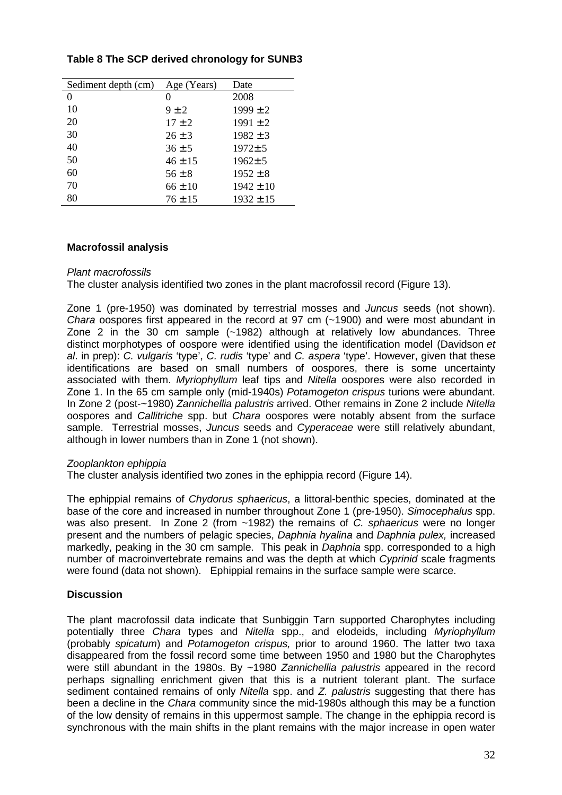# **Table 8 The SCP derived chronology for SUNB3**

| Sediment depth (cm) | Age (Years) | Date          |
|---------------------|-------------|---------------|
| $^{(1)}$            | 0           | 2008          |
| 10                  | $9 \pm 2$   | $1999 \pm 2$  |
| 20                  | $17 \pm 2$  | $1991 \pm 2$  |
| 30                  | $26 \pm 3$  | $1982 \pm 3$  |
| 40                  | $36 \pm 5$  | $1972 \pm 5$  |
| 50                  | $46 \pm 15$ | $1962 \pm 5$  |
| 60                  | $56 \pm 8$  | $1952 \pm 8$  |
| 70                  | $66 \pm 10$ | $1942 \pm 10$ |
| 80                  | $76 \pm 15$ | $1932 \pm 15$ |

#### **Macrofossil analysis**

#### Plant macrofossils

The cluster analysis identified two zones in the plant macrofossil record (Figure 13).

Zone 1 (pre-1950) was dominated by terrestrial mosses and Juncus seeds (not shown). Chara oospores first appeared in the record at 97 cm (~1900) and were most abundant in Zone 2 in the 30 cm sample (~1982) although at relatively low abundances. Three distinct morphotypes of oospore were identified using the identification model (Davidson et al. in prep): C. vulgaris 'type', C. rudis 'type' and C. aspera 'type'. However, given that these identifications are based on small numbers of oospores, there is some uncertainty associated with them. Myriophyllum leaf tips and Nitella oospores were also recorded in Zone 1. In the 65 cm sample only (mid-1940s) Potamogeton crispus turions were abundant. In Zone 2 (post-~1980) Zannichellia palustris arrived. Other remains in Zone 2 include Nitella oospores and Callitriche spp. but Chara oospores were notably absent from the surface sample. Terrestrial mosses, Juncus seeds and Cyperaceae were still relatively abundant, although in lower numbers than in Zone 1 (not shown).

#### Zooplankton ephippia

The cluster analysis identified two zones in the ephippia record (Figure 14).

The ephippial remains of Chydorus sphaericus, a littoral-benthic species, dominated at the base of the core and increased in number throughout Zone 1 (pre-1950). Simocephalus spp. was also present. In Zone 2 (from ~1982) the remains of C. sphaericus were no longer present and the numbers of pelagic species, Daphnia hyalina and Daphnia pulex, increased markedly, peaking in the 30 cm sample. This peak in Daphnia spp. corresponded to a high number of macroinvertebrate remains and was the depth at which Cyprinid scale fragments were found (data not shown). Ephippial remains in the surface sample were scarce.

## **Discussion**

The plant macrofossil data indicate that Sunbiggin Tarn supported Charophytes including potentially three Chara types and Nitella spp., and elodeids, including Myriophyllum (probably spicatum) and Potamogeton crispus, prior to around 1960. The latter two taxa disappeared from the fossil record some time between 1950 and 1980 but the Charophytes were still abundant in the 1980s. By ~1980 Zannichellia palustris appeared in the record perhaps signalling enrichment given that this is a nutrient tolerant plant. The surface sediment contained remains of only Nitella spp. and Z. palustris suggesting that there has been a decline in the Chara community since the mid-1980s although this may be a function of the low density of remains in this uppermost sample. The change in the ephippia record is synchronous with the main shifts in the plant remains with the major increase in open water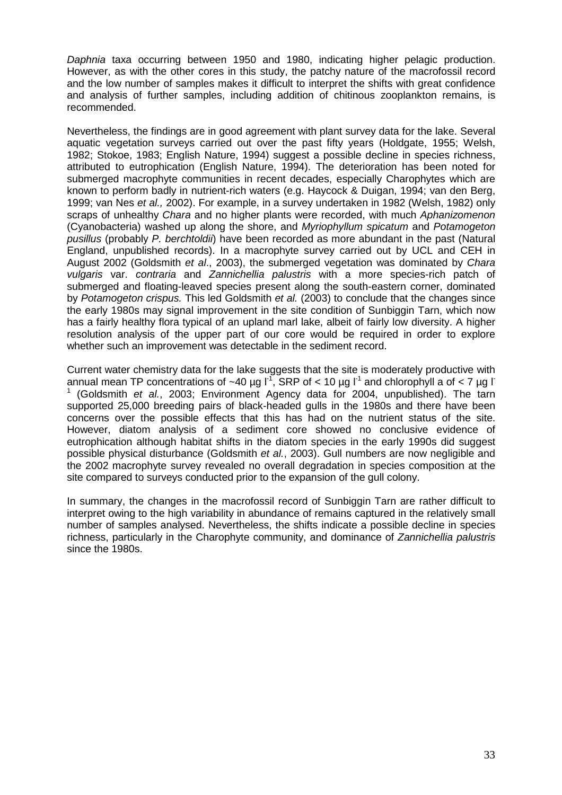Daphnia taxa occurring between 1950 and 1980, indicating higher pelagic production. However, as with the other cores in this study, the patchy nature of the macrofossil record and the low number of samples makes it difficult to interpret the shifts with great confidence and analysis of further samples, including addition of chitinous zooplankton remains, is recommended.

Nevertheless, the findings are in good agreement with plant survey data for the lake. Several aquatic vegetation surveys carried out over the past fifty years (Holdgate, 1955; Welsh, 1982; Stokoe, 1983; English Nature, 1994) suggest a possible decline in species richness, attributed to eutrophication (English Nature, 1994). The deterioration has been noted for submerged macrophyte communities in recent decades, especially Charophytes which are known to perform badly in nutrient-rich waters (e.g. Haycock & Duigan, 1994; van den Berg, 1999; van Nes et al., 2002). For example, in a survey undertaken in 1982 (Welsh, 1982) only scraps of unhealthy Chara and no higher plants were recorded, with much Aphanizomenon (Cyanobacteria) washed up along the shore, and Myriophyllum spicatum and Potamogeton pusillus (probably P. berchtoldii) have been recorded as more abundant in the past (Natural England, unpublished records). In a macrophyte survey carried out by UCL and CEH in August 2002 (Goldsmith et al., 2003), the submerged vegetation was dominated by Chara vulgaris var. contraria and Zannichellia palustris with a more species-rich patch of submerged and floating-leaved species present along the south-eastern corner, dominated by Potamogeton crispus. This led Goldsmith et al. (2003) to conclude that the changes since the early 1980s may signal improvement in the site condition of Sunbiggin Tarn, which now has a fairly healthy flora typical of an upland marl lake, albeit of fairly low diversity. A higher resolution analysis of the upper part of our core would be required in order to explore whether such an improvement was detectable in the sediment record.

Current water chemistry data for the lake suggests that the site is moderately productive with annual mean TP concentrations of ~40 µg  $I^1$ , SRP of < 10 µg  $I^1$  and chlorophyll a of < 7 µg  $I$ 1 (Goldsmith et al., 2003; Environment Agency data for 2004, unpublished). The tarn supported 25,000 breeding pairs of black-headed gulls in the 1980s and there have been concerns over the possible effects that this has had on the nutrient status of the site. However, diatom analysis of a sediment core showed no conclusive evidence of eutrophication although habitat shifts in the diatom species in the early 1990s did suggest possible physical disturbance (Goldsmith et al., 2003). Gull numbers are now negligible and the 2002 macrophyte survey revealed no overall degradation in species composition at the site compared to surveys conducted prior to the expansion of the gull colony.

In summary, the changes in the macrofossil record of Sunbiggin Tarn are rather difficult to interpret owing to the high variability in abundance of remains captured in the relatively small number of samples analysed. Nevertheless, the shifts indicate a possible decline in species richness, particularly in the Charophyte community, and dominance of Zannichellia palustris since the 1980s.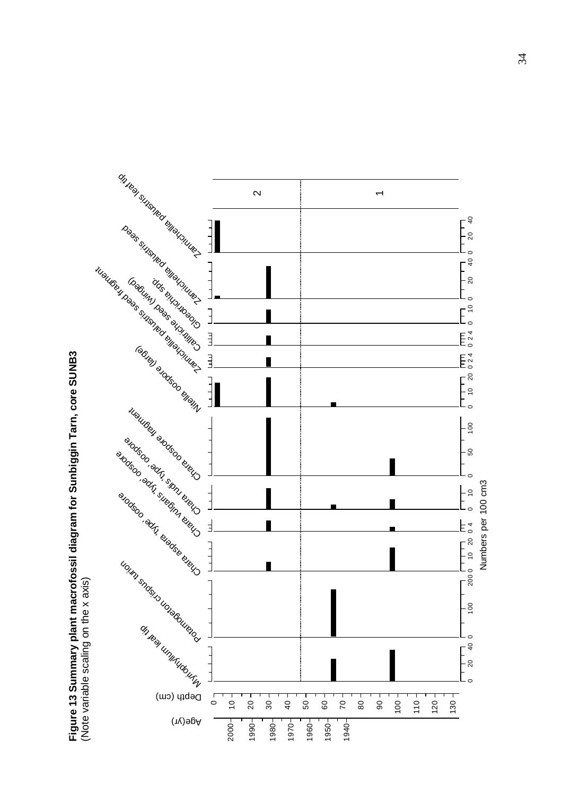

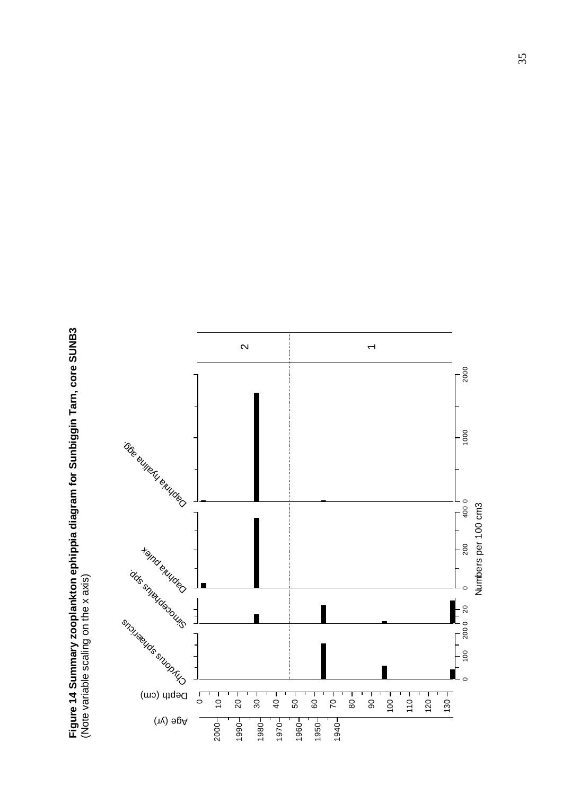Figure 14 Summary zooplankton ephippia diagram for Sunbiggin Tarn, core SUNB3<br>(Note variable scaling on the x axis)  **Figure 14 Summary zooplankton ephippia diagram for Sunbiggin Tarn, core SUNB3**  (Note variable scaling on the x axis)

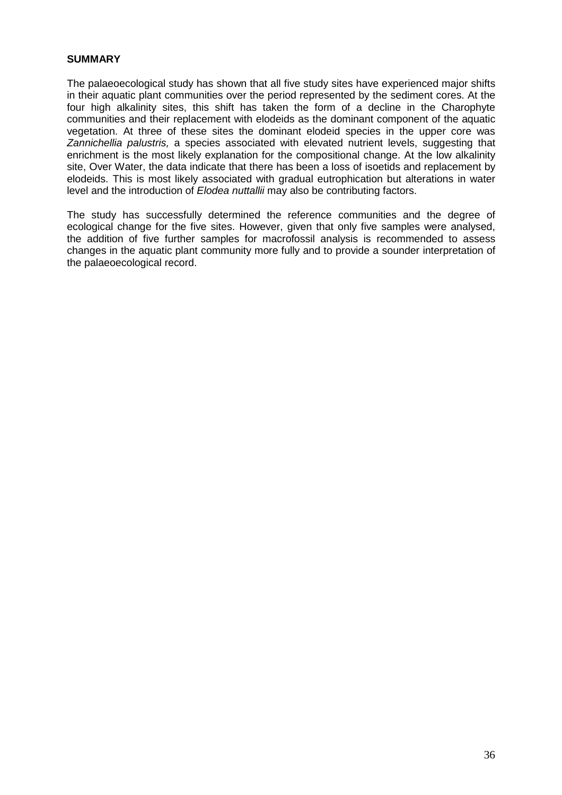#### **SUMMARY**

The palaeoecological study has shown that all five study sites have experienced major shifts in their aquatic plant communities over the period represented by the sediment cores. At the four high alkalinity sites, this shift has taken the form of a decline in the Charophyte communities and their replacement with elodeids as the dominant component of the aquatic vegetation. At three of these sites the dominant elodeid species in the upper core was Zannichellia palustris, a species associated with elevated nutrient levels, suggesting that enrichment is the most likely explanation for the compositional change. At the low alkalinity site, Over Water, the data indicate that there has been a loss of isoetids and replacement by elodeids. This is most likely associated with gradual eutrophication but alterations in water level and the introduction of Elodea nuttallii may also be contributing factors.

The study has successfully determined the reference communities and the degree of ecological change for the five sites. However, given that only five samples were analysed, the addition of five further samples for macrofossil analysis is recommended to assess changes in the aquatic plant community more fully and to provide a sounder interpretation of the palaeoecological record.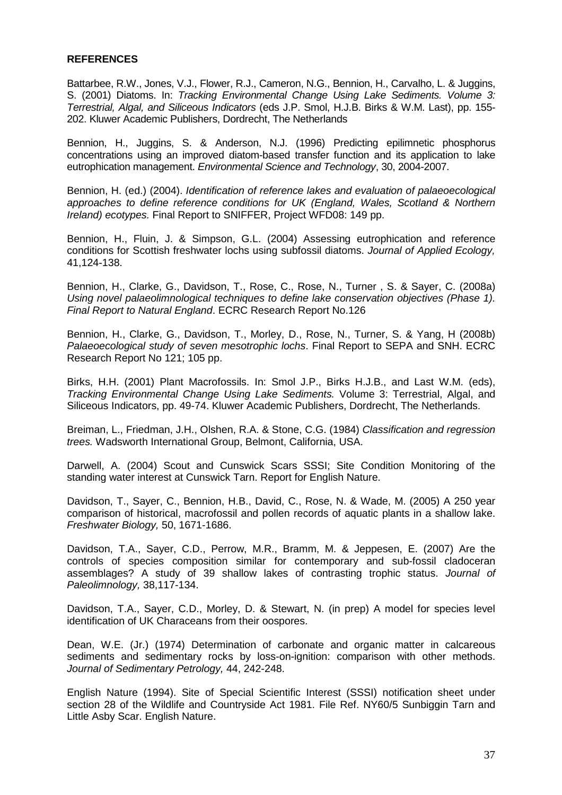#### **REFERENCES**

Battarbee, R.W., Jones, V.J., Flower, R.J., Cameron, N.G., Bennion, H., Carvalho, L. & Juggins, S. (2001) Diatoms. In: Tracking Environmental Change Using Lake Sediments. Volume 3: Terrestrial, Algal, and Siliceous Indicators (eds J.P. Smol, H.J.B. Birks & W.M. Last), pp. 155- 202. Kluwer Academic Publishers, Dordrecht, The Netherlands

Bennion, H., Juggins, S. & Anderson, N.J. (1996) Predicting epilimnetic phosphorus concentrations using an improved diatom-based transfer function and its application to lake eutrophication management. Environmental Science and Technology, 30, 2004-2007.

Bennion, H. (ed.) (2004). Identification of reference lakes and evaluation of palaeoecological approaches to define reference conditions for UK (England, Wales, Scotland & Northern Ireland) ecotypes. Final Report to SNIFFER, Project WFD08: 149 pp.

Bennion, H., Fluin, J. & Simpson, G.L. (2004) Assessing eutrophication and reference conditions for Scottish freshwater lochs using subfossil diatoms. Journal of Applied Ecology, 41,124-138.

Bennion, H., Clarke, G., Davidson, T., Rose, C., Rose, N., Turner , S. & Sayer, C. (2008a) Using novel palaeolimnological techniques to define lake conservation objectives (Phase 1). Final Report to Natural England. ECRC Research Report No.126

Bennion, H., Clarke, G., Davidson, T., Morley, D., Rose, N., Turner, S. & Yang, H (2008b) Palaeoecological study of seven mesotrophic lochs. Final Report to SEPA and SNH. ECRC Research Report No 121; 105 pp.

Birks, H.H. (2001) Plant Macrofossils. In: Smol J.P., Birks H.J.B., and Last W.M. (eds), Tracking Environmental Change Using Lake Sediments. Volume 3: Terrestrial, Algal, and Siliceous Indicators, pp. 49-74. Kluwer Academic Publishers, Dordrecht, The Netherlands.

Breiman, L., Friedman, J.H., Olshen, R.A. & Stone, C.G. (1984) Classification and regression trees. Wadsworth International Group, Belmont, California, USA.

Darwell, A. (2004) Scout and Cunswick Scars SSSI; Site Condition Monitoring of the standing water interest at Cunswick Tarn. Report for English Nature.

Davidson, T., Sayer, C., Bennion, H.B., David, C., Rose, N. & Wade, M. (2005) A 250 year comparison of historical, macrofossil and pollen records of aquatic plants in a shallow lake. Freshwater Biology, 50, 1671-1686.

Davidson, T.A., Sayer, C.D., Perrow, M.R., Bramm, M. & Jeppesen, E. (2007) Are the controls of species composition similar for contemporary and sub-fossil cladoceran assemblages? A study of 39 shallow lakes of contrasting trophic status. Journal of Paleolimnology, 38,117-134.

Davidson, T.A., Sayer, C.D., Morley, D. & Stewart, N. (in prep) A model for species level identification of UK Characeans from their oospores.

Dean, W.E. (Jr.) (1974) Determination of carbonate and organic matter in calcareous sediments and sedimentary rocks by loss-on-ignition: comparison with other methods. Journal of Sedimentary Petrology, 44, 242-248.

English Nature (1994). Site of Special Scientific Interest (SSSI) notification sheet under section 28 of the Wildlife and Countryside Act 1981. File Ref. NY60/5 Sunbiggin Tarn and Little Asby Scar. English Nature.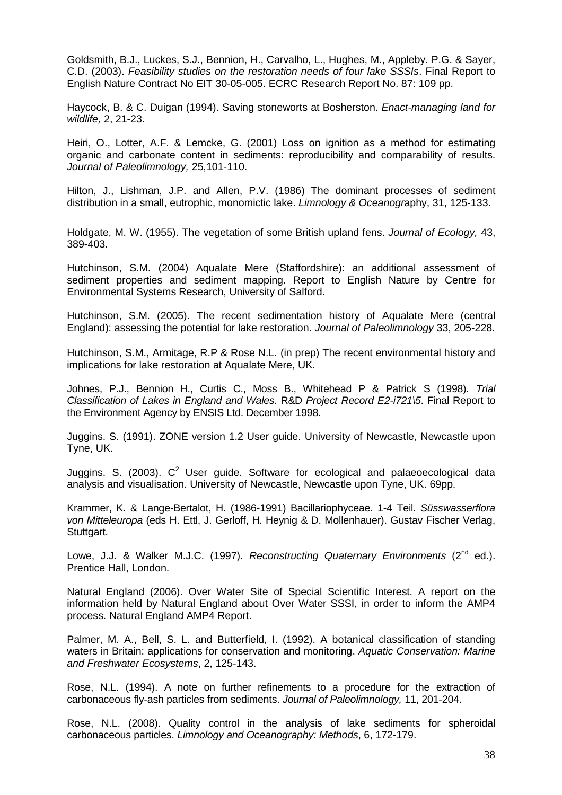Goldsmith, B.J., Luckes, S.J., Bennion, H., Carvalho, L., Hughes, M., Appleby. P.G. & Sayer, C.D. (2003). Feasibility studies on the restoration needs of four lake SSSIs. Final Report to English Nature Contract No EIT 30-05-005. ECRC Research Report No. 87: 109 pp.

Haycock, B. & C. Duigan (1994). Saving stoneworts at Bosherston. Enact-managing land for wildlife, 2, 21-23.

Heiri, O., Lotter, A.F. & Lemcke, G. (2001) Loss on ignition as a method for estimating organic and carbonate content in sediments: reproducibility and comparability of results. Journal of Paleolimnology, 25,101-110.

Hilton, J., Lishman, J.P. and Allen, P.V. (1986) The dominant processes of sediment distribution in a small, eutrophic, monomictic lake. *Limnology & Oceanography*, 31, 125-133.

Holdgate, M. W. (1955). The vegetation of some British upland fens. Journal of Ecology, 43, 389-403.

Hutchinson, S.M. (2004) Aqualate Mere (Staffordshire): an additional assessment of sediment properties and sediment mapping. Report to English Nature by Centre for Environmental Systems Research, University of Salford.

Hutchinson, S.M. (2005). The recent sedimentation history of Aqualate Mere (central England): assessing the potential for lake restoration. Journal of Paleolimnology 33, 205-228.

Hutchinson, S.M., Armitage, R.P & Rose N.L. (in prep) The recent environmental history and implications for lake restoration at Aqualate Mere, UK.

Johnes, P.J., Bennion H., Curtis C., Moss B., Whitehead P & Patrick S (1998). Trial Classification of Lakes in England and Wales. R&D Project Record E2-i721\5. Final Report to the Environment Agency by ENSIS Ltd. December 1998.

Juggins. S. (1991). ZONE version 1.2 User guide. University of Newcastle, Newcastle upon Tyne, UK.

Juggins. S. (2003).  $C^2$  User guide. Software for ecological and palaeoecological data analysis and visualisation. University of Newcastle, Newcastle upon Tyne, UK. 69pp.

Krammer, K. & Lange-Bertalot, H. (1986-1991) Bacillariophyceae. 1-4 Teil. Süsswasserflora von Mitteleuropa (eds H. Ettl, J. Gerloff, H. Heynig & D. Mollenhauer). Gustav Fischer Verlag, Stuttgart.

Lowe, J.J. & Walker M.J.C. (1997). Reconstructing Quaternary Environments ( $2<sup>nd</sup>$  ed.). Prentice Hall, London.

Natural England (2006). Over Water Site of Special Scientific Interest. A report on the information held by Natural England about Over Water SSSI, in order to inform the AMP4 process. Natural England AMP4 Report.

Palmer, M. A., Bell, S. L. and Butterfield, I. (1992). A botanical classification of standing waters in Britain: applications for conservation and monitoring. Aquatic Conservation: Marine and Freshwater Ecosystems, 2, 125-143.

Rose, N.L. (1994). A note on further refinements to a procedure for the extraction of carbonaceous fly-ash particles from sediments. Journal of Paleolimnology, 11, 201-204.

Rose, N.L. (2008). Quality control in the analysis of lake sediments for spheroidal carbonaceous particles. Limnology and Oceanography: Methods, 6, 172-179.